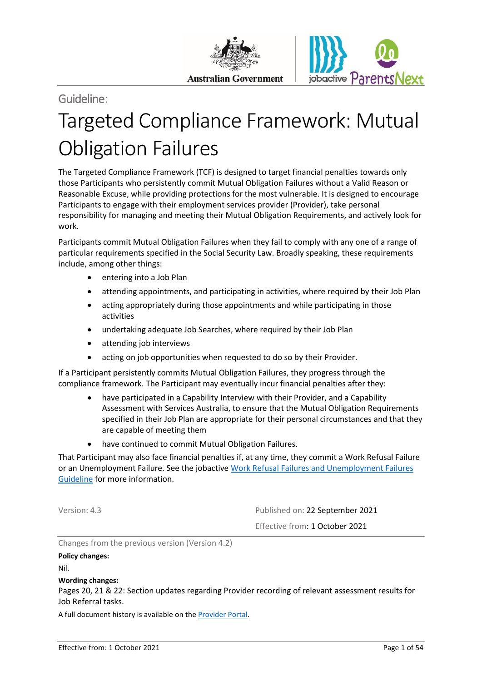

# Guideline:

# Targeted Compliance Framework: Mutual Obligation Failures

The Targeted Compliance Framework (TCF) is designed to target financial penalties towards only those Participants who persistently commit Mutual Obligation Failures without a Valid Reason or Reasonable Excuse, while providing protections for the most vulnerable. It is designed to encourage Participants to engage with their employment services provider (Provider), take personal responsibility for managing and meeting their Mutual Obligation Requirements, and actively look for work.

Participants commit Mutual Obligation Failures when they fail to comply with any one of a range of particular requirements specified in the Social Security Law. Broadly speaking, these requirements include, among other things:

- entering into a Job Plan
- attending appointments, and participating in activities, where required by their Job Plan
- acting appropriately during those appointments and while participating in those activities
- undertaking adequate Job Searches, where required by their Job Plan
- attending job interviews
- acting on job opportunities when requested to do so by their Provider.

If a Participant persistently commits Mutual Obligation Failures, they progress through the compliance framework. The Participant may eventually incur financial penalties after they:

- have participated in a Capability Interview with their Provider, and a Capability Assessment with Services Australia, to ensure that the Mutual Obligation Requirements specified in their Job Plan are appropriate for their personal circumstances and that they are capable of meeting them
- have continued to commit Mutual Obligation Failures.

That Participant may also face financial penalties if, at any time, they commit a Work Refusal Failure or an Unemployment Failure. See the jobactive [Work Refusal Failures and Unemployment Failures](https://ecsnaccess.gov.au/ProviderPortal/jobactive/Guidelines/Pages/Participation-and-Compliance-Framework.aspx)  [Guideline](https://ecsnaccess.gov.au/ProviderPortal/jobactive/Guidelines/Pages/Participation-and-Compliance-Framework.aspx) for more information.

Version: 4.3 Published on: 22 September 2021 Effective from: 1 October 2021

Changes from the previous version (Version 4.2)

#### **Policy changes:**

Nil.

#### **Wording changes:**

Pages 20, 21 & 22: Section updates regarding Provider recording of relevant assessment results for Job Referral tasks.

A full document history is available on the [Provider Portal.](https://ecsnaccess.gov.au/ProviderPortal/jobactive/ArchivedGuidelines/Pages/default.aspx)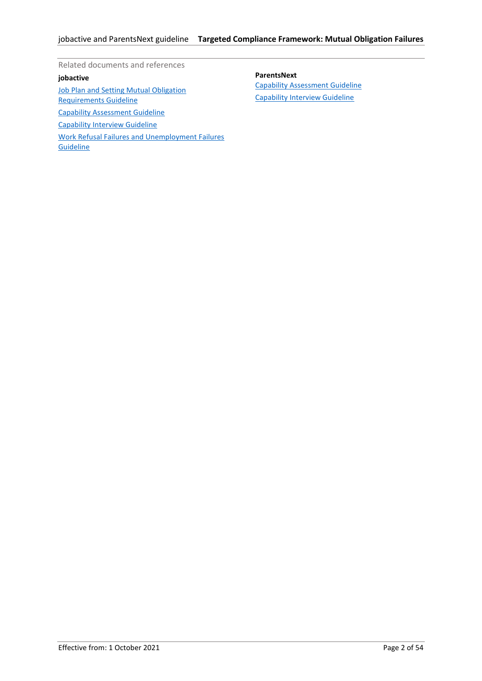Related documents and references

# **jobactive**

**[Job Plan and Setting Mutual Obligation](https://ecsnaccess.gov.au/ProviderPortal/jobactive/Guidelines/Pages/Participation-and-Compliance-Framework.aspx)** [Requirements Guideline](https://ecsnaccess.gov.au/ProviderPortal/jobactive/Guidelines/Pages/Participation-and-Compliance-Framework.aspx) [Capability Assessment Guideline](https://ecsnaccess.gov.au/ProviderPortal/jobactive/Guidelines/Pages/Participation-and-Compliance-Framework.aspx) [Capability Interview Guideline](https://ecsnaccess.gov.au/ProviderPortal/jobactive/Guidelines/Pages/Participation-and-Compliance-Framework.aspx) [Work Refusal Failures and Unemployment Failures](https://ecsnaccess.gov.au/ProviderPortal/jobactive/Guidelines/Pages/Participation-and-Compliance-Framework.aspx)  **[Guideline](https://ecsnaccess.gov.au/ProviderPortal/jobactive/Guidelines/Pages/Participation-and-Compliance-Framework.aspx)** 

**ParentsNext**

[Capability Assessment Guideline](https://ecsnaccess.gov.au/ProviderPortal/ParentsNext/Guidelines/Pages/Mutual-Obligations-and-Compliance.aspx) [Capability Interview Guideline](https://ecsnaccess.gov.au/ProviderPortal/ParentsNext/Guidelines/Pages/Mutual-Obligations-and-Compliance.aspx)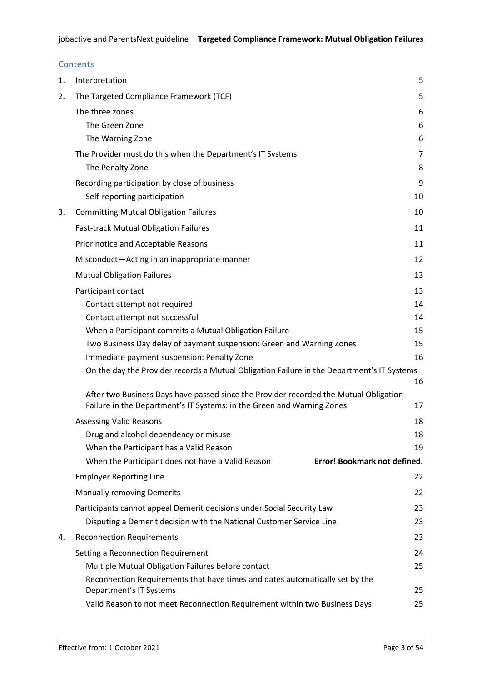| Contents |  |
|----------|--|
|          |  |

| 1. | Interpretation                                                                             | 5  |
|----|--------------------------------------------------------------------------------------------|----|
| 2. | The Targeted Compliance Framework (TCF)                                                    | 5  |
|    | The three zones                                                                            | 6  |
|    | The Green Zone                                                                             | 6  |
|    | The Warning Zone                                                                           | 6  |
|    | The Provider must do this when the Department's IT Systems                                 | 7  |
|    | The Penalty Zone                                                                           | 8  |
|    | Recording participation by close of business                                               | 9  |
|    | Self-reporting participation                                                               | 10 |
| 3. | <b>Committing Mutual Obligation Failures</b>                                               | 10 |
|    | <b>Fast-track Mutual Obligation Failures</b>                                               | 11 |
|    | Prior notice and Acceptable Reasons                                                        | 11 |
|    | Misconduct-Acting in an inappropriate manner                                               | 12 |
|    | <b>Mutual Obligation Failures</b>                                                          | 13 |
|    | Participant contact                                                                        | 13 |
|    | Contact attempt not required                                                               | 14 |
|    | Contact attempt not successful                                                             | 14 |
|    | When a Participant commits a Mutual Obligation Failure                                     | 15 |
|    | Two Business Day delay of payment suspension: Green and Warning Zones                      | 15 |
|    | Immediate payment suspension: Penalty Zone                                                 | 16 |
|    | On the day the Provider records a Mutual Obligation Failure in the Department's IT Systems | 16 |
|    | After two Business Days have passed since the Provider recorded the Mutual Obligation      |    |
|    | Failure in the Department's IT Systems: in the Green and Warning Zones                     | 17 |
|    | <b>Assessing Valid Reasons</b>                                                             | 18 |
|    | Drug and alcohol dependency or misuse                                                      | 18 |
|    | When the Participant has a Valid Reason                                                    | 19 |
|    | Error! Bookmark not defined.<br>When the Participant does not have a Valid Reason          |    |
|    | <b>Employer Reporting Line</b>                                                             | 22 |
|    | <b>Manually removing Demerits</b>                                                          | 22 |
|    | Participants cannot appeal Demerit decisions under Social Security Law                     | 23 |
|    | Disputing a Demerit decision with the National Customer Service Line                       | 23 |
| 4. | <b>Reconnection Requirements</b>                                                           | 23 |
|    | Setting a Reconnection Requirement                                                         | 24 |
|    | Multiple Mutual Obligation Failures before contact                                         | 25 |
|    | Reconnection Requirements that have times and dates automatically set by the               |    |
|    | Department's IT Systems                                                                    | 25 |
|    | Valid Reason to not meet Reconnection Requirement within two Business Days                 | 25 |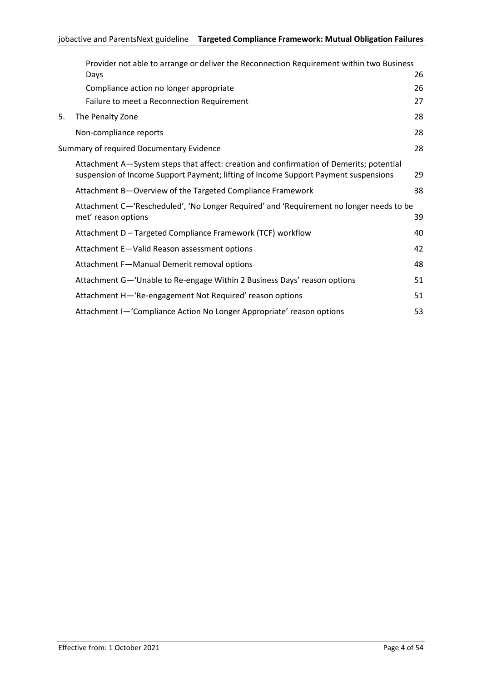|    | Provider not able to arrange or deliver the Reconnection Requirement within two Business                                                                                       |    |
|----|--------------------------------------------------------------------------------------------------------------------------------------------------------------------------------|----|
|    | Days                                                                                                                                                                           | 26 |
|    | Compliance action no longer appropriate                                                                                                                                        | 26 |
|    | Failure to meet a Reconnection Requirement                                                                                                                                     | 27 |
| 5. | The Penalty Zone                                                                                                                                                               | 28 |
|    | Non-compliance reports                                                                                                                                                         | 28 |
|    | Summary of required Documentary Evidence                                                                                                                                       | 28 |
|    | Attachment A-System steps that affect: creation and confirmation of Demerits; potential<br>suspension of Income Support Payment; lifting of Income Support Payment suspensions | 29 |
|    | Attachment B-Overview of the Targeted Compliance Framework                                                                                                                     | 38 |
|    | Attachment C—'Rescheduled', 'No Longer Required' and 'Requirement no longer needs to be<br>met' reason options                                                                 | 39 |
|    | Attachment D - Targeted Compliance Framework (TCF) workflow                                                                                                                    | 40 |
|    | Attachment E-Valid Reason assessment options                                                                                                                                   | 42 |
|    | Attachment F-Manual Demerit removal options                                                                                                                                    | 48 |
|    | Attachment G-'Unable to Re-engage Within 2 Business Days' reason options                                                                                                       | 51 |
|    | Attachment H-'Re-engagement Not Required' reason options                                                                                                                       | 51 |
|    | Attachment I-'Compliance Action No Longer Appropriate' reason options                                                                                                          | 53 |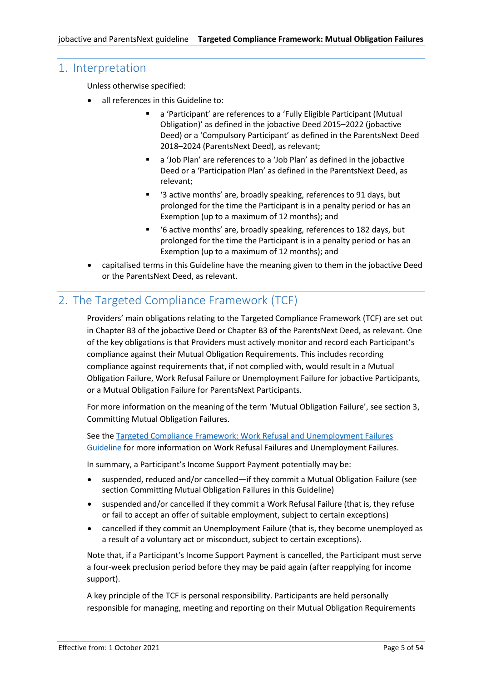# <span id="page-4-0"></span>1. Interpretation

Unless otherwise specified:

- all references in this Guideline to:
	- a 'Participant' are references to a 'Fully Eligible Participant (Mutual Obligation)' as defined in the jobactive Deed 2015–2022 (jobactive Deed) or a 'Compulsory Participant' as defined in the ParentsNext Deed 2018–2024 (ParentsNext Deed), as relevant;
	- a 'Job Plan' are references to a 'Job Plan' as defined in the jobactive Deed or a 'Participation Plan' as defined in the ParentsNext Deed, as relevant;
	- '3 active months' are, broadly speaking, references to 91 days, but prolonged for the time the Participant is in a penalty period or has an Exemption (up to a maximum of 12 months); and
	- '6 active months' are, broadly speaking, references to 182 days, but prolonged for the time the Participant is in a penalty period or has an Exemption (up to a maximum of 12 months); and
- capitalised terms in this Guideline have the meaning given to them in the jobactive Deed or the ParentsNext Deed, as relevant.

# <span id="page-4-1"></span>2. The Targeted Compliance Framework (TCF)

Providers' main obligations relating to the Targeted Compliance Framework (TCF) are set out in Chapter B3 of the jobactive Deed or Chapter B3 of the ParentsNext Deed, as relevant. One of the key obligations is that Providers must actively monitor and record each Participant's compliance against their Mutual Obligation Requirements. This includes recording compliance against requirements that, if not complied with, would result in a Mutual Obligation Failure, Work Refusal Failure or Unemployment Failure for jobactive Participants, or a Mutual Obligation Failure for ParentsNext Participants.

For more information on the meaning of the term 'Mutual Obligation Failure', see section 3, Committing Mutual Obligation Failures.

See the [Targeted Compliance Framework: Work Refusal and Unemployment Failures](https://ecsnaccess.gov.au/ProviderPortal/jobactive/Guidelines/Pages/Participation-and-Compliance-Framework.aspx)  [Guideline](https://ecsnaccess.gov.au/ProviderPortal/jobactive/Guidelines/Pages/Participation-and-Compliance-Framework.aspx) for more information on Work Refusal Failures and Unemployment Failures.

In summary, a Participant's Income Support Payment potentially may be:

- suspended, reduced and/or cancelled—if they commit a Mutual Obligation Failure (see sectio[n Committing Mutual Obligation Failures](#page-9-1) in this Guideline)
- suspended and/or cancelled if they commit a Work Refusal Failure (that is, they refuse or fail to accept an offer of suitable employment, subject to certain exceptions)
- cancelled if they commit an Unemployment Failure (that is, they become unemployed as a result of a voluntary act or misconduct, subject to certain exceptions).

Note that, if a Participant's Income Support Payment is cancelled, the Participant must serve a four-week preclusion period before they may be paid again (after reapplying for income support).

A key principle of the TCF is personal responsibility. Participants are held personally responsible for managing, meeting and reporting on their Mutual Obligation Requirements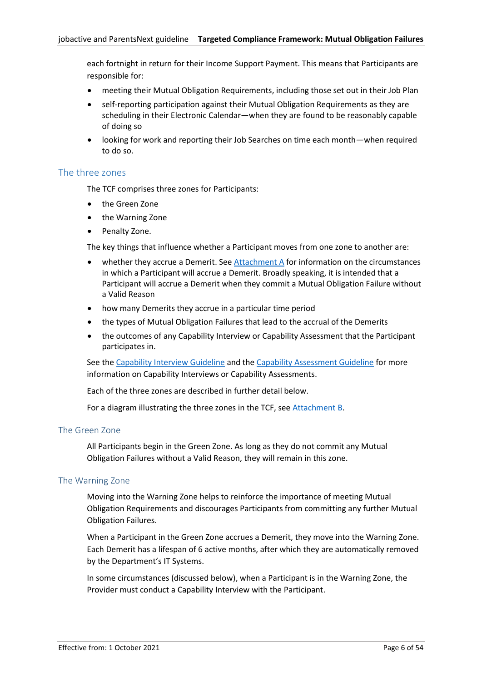each fortnight in return for their Income Support Payment. This means that Participants are responsible for:

- meeting their Mutual Obligation Requirements, including those set out in their Job Plan
- self-reporting participation against their Mutual Obligation Requirements as they are scheduling in their Electronic Calendar—when they are found to be reasonably capable of doing so
- looking for work and reporting their Job Searches on time each month—when required to do so.

# <span id="page-5-0"></span>The three zones

The TCF comprises three zones for Participants:

- the Green Zone
- the Warning Zone
- Penalty Zone.

The key things that influence whether a Participant moves from one zone to another are:

- whether they accrue a Demerit. See [Attachment A](#page-28-0) for information on the circumstances in which a Participant will accrue a Demerit. Broadly speaking, it is intended that a Participant will accrue a Demerit when they commit a Mutual Obligation Failure without a Valid Reason
- how many Demerits they accrue in a particular time period
- the types of Mutual Obligation Failures that lead to the accrual of the Demerits
- the outcomes of any Capability Interview or Capability Assessment that the Participant participates in.

See th[e Capability Interview](https://ecsnaccess.gov.au/ProviderPortal/jobactive/Guidelines/Pages/Participation-and-Compliance-Framework.aspx) Guideline and the [Capability Assessment Guideline](https://ecsnaccess.gov.au/ProviderPortal/jobactive/Guidelines/Pages/Participation-and-Compliance-Framework.aspx) for more information on Capability Interviews or Capability Assessments.

Each of the three zones are described in further detail below.

For a diagram illustrating the three zones in the TCF, see [Attachment B.](#page-37-0)

#### <span id="page-5-1"></span>The Green Zone

All Participants begin in the Green Zone. As long as they do not commit any Mutual Obligation Failures without a Valid Reason, they will remain in this zone.

#### <span id="page-5-2"></span>The Warning Zone

Moving into the Warning Zone helps to reinforce the importance of meeting Mutual Obligation Requirements and discourages Participants from committing any further Mutual Obligation Failures.

When a Participant in the Green Zone accrues a Demerit, they move into the Warning Zone. Each Demerit has a lifespan of 6 active months, after which they are automatically removed by the Department's IT Systems.

In some circumstances (discussed below), when a Participant is in the Warning Zone, the Provider must conduct a Capability Interview with the Participant.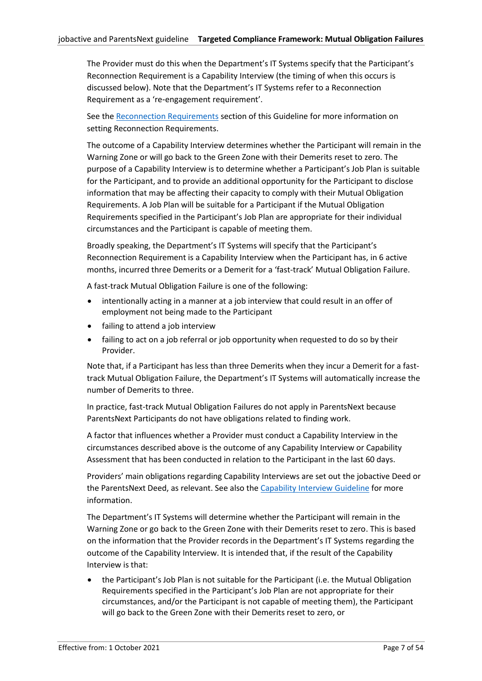<span id="page-6-0"></span>The Provider must do this when the Department's IT Systems specify that the Participant's Reconnection Requirement is a Capability Interview (the timing of when this occurs is discussed below). Note that the Department's IT Systems refer to a Reconnection Requirement as a 're‑engagement requirement'.

See th[e Reconnection Requirements](#page-22-2) section of this Guideline for more information on setting Reconnection Requirements.

The outcome of a Capability Interview determines whether the Participant will remain in the Warning Zone or will go back to the Green Zone with their Demerits reset to zero. The purpose of a Capability Interview is to determine whether a Participant's Job Plan is suitable for the Participant, and to provide an additional opportunity for the Participant to disclose information that may be affecting their capacity to comply with their Mutual Obligation Requirements. A Job Plan will be suitable for a Participant if the Mutual Obligation Requirements specified in the Participant's Job Plan are appropriate for their individual circumstances and the Participant is capable of meeting them.

Broadly speaking, the Department's IT Systems will specify that the Participant's Reconnection Requirement is a Capability Interview when the Participant has, in 6 active months, incurred three Demerits or a Demerit for a 'fast-track' Mutual Obligation Failure.

A fast-track Mutual Obligation Failure is one of the following:

- intentionally acting in a manner at a job interview that could result in an offer of employment not being made to the Participant
- failing to attend a job interview
- failing to act on a job referral or job opportunity when requested to do so by their Provider.

Note that, if a Participant has less than three Demerits when they incur a Demerit for a fasttrack Mutual Obligation Failure, the Department's IT Systems will automatically increase the number of Demerits to three.

In practice, fast-track Mutual Obligation Failures do not apply in ParentsNext because ParentsNext Participants do not have obligations related to finding work.

A factor that influences whether a Provider must conduct a Capability Interview in the circumstances described above is the outcome of any Capability Interview or Capability Assessment that has been conducted in relation to the Participant in the last 60 days.

Providers' main obligations regarding Capability Interviews are set out the jobactive Deed or the ParentsNext Deed, as relevant. See also the [Capability Interview](https://ecsnaccess.gov.au/ProviderPortal/jobactive/Guidelines/Pages/Participation-and-Compliance-Framework.aspx) Guideline for more information.

The Department's IT Systems will determine whether the Participant will remain in the Warning Zone or go back to the Green Zone with their Demerits reset to zero. This is based on the information that the Provider records in the Department's IT Systems regarding the outcome of the Capability Interview. It is intended that, if the result of the Capability Interview is that:

• the Participant's Job Plan is not suitable for the Participant (i.e. the Mutual Obligation Requirements specified in the Participant's Job Plan are not appropriate for their circumstances, and/or the Participant is not capable of meeting them), the Participant will go back to the Green Zone with their Demerits reset to zero, or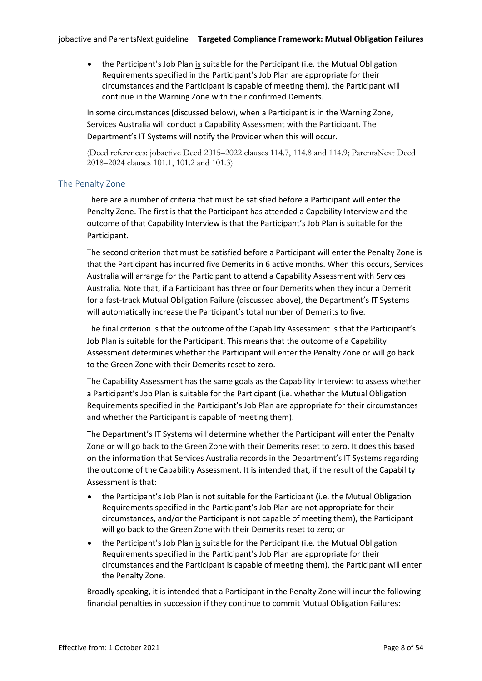• the Participant's Job Plan is suitable for the Participant (i.e. the Mutual Obligation Requirements specified in the Participant's Job Plan are appropriate for their circumstances and the Participant is capable of meeting them), the Participant will continue in the Warning Zone with their confirmed Demerits.

In some circumstances (discussed below), when a Participant is in the Warning Zone, Services Australia will conduct a Capability Assessment with the Participant. The Department's IT Systems will notify the Provider when this will occur.

(Deed references: jobactive Deed 2015–2022 clauses 114.7, 114.8 and 114.9; ParentsNext Deed 2018–2024 clauses 101.1, 101.2 and 101.3)

# <span id="page-7-0"></span>The Penalty Zone

There are a number of criteria that must be satisfied before a Participant will enter the Penalty Zone. The first is that the Participant has attended a Capability Interview and the outcome of that Capability Interview is that the Participant's Job Plan is suitable for the Participant.

The second criterion that must be satisfied before a Participant will enter the Penalty Zone is that the Participant has incurred five Demerits in 6 active months. When this occurs, Services Australia will arrange for the Participant to attend a Capability Assessment with Services Australia. Note that, if a Participant has three or four Demerits when they incur a Demerit for a fast-track Mutual Obligation Failure (discussed above), the Department's IT Systems will automatically increase the Participant's total number of Demerits to five.

The final criterion is that the outcome of the Capability Assessment is that the Participant's Job Plan is suitable for the Participant. This means that the outcome of a Capability Assessment determines whether the Participant will enter the Penalty Zone or will go back to the Green Zone with their Demerits reset to zero.

The Capability Assessment has the same goals as the Capability Interview: to assess whether a Participant's Job Plan is suitable for the Participant (i.e. whether the Mutual Obligation Requirements specified in the Participant's Job Plan are appropriate for their circumstances and whether the Participant is capable of meeting them).

The Department's IT Systems will determine whether the Participant will enter the Penalty Zone or will go back to the Green Zone with their Demerits reset to zero. It does this based on the information that Services Australia records in the Department's IT Systems regarding the outcome of the Capability Assessment. It is intended that, if the result of the Capability Assessment is that:

- the Participant's Job Plan is not suitable for the Participant (i.e. the Mutual Obligation Requirements specified in the Participant's Job Plan are not appropriate for their circumstances, and/or the Participant is not capable of meeting them), the Participant will go back to the Green Zone with their Demerits reset to zero; or
- the Participant's Job Plan is suitable for the Participant (i.e. the Mutual Obligation Requirements specified in the Participant's Job Plan are appropriate for their circumstances and the Participant is capable of meeting them), the Participant will enter the Penalty Zone.

Broadly speaking, it is intended that a Participant in the Penalty Zone will incur the following financial penalties in succession if they continue to commit Mutual Obligation Failures: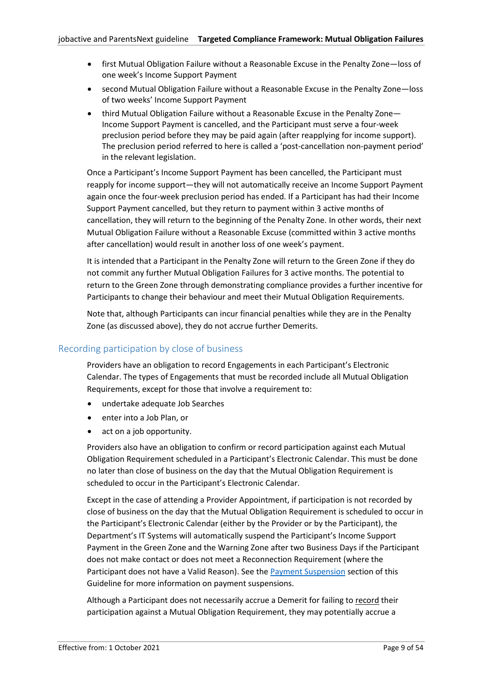- first Mutual Obligation Failure without a Reasonable Excuse in the Penalty Zone—loss of one week's Income Support Payment
- second Mutual Obligation Failure without a Reasonable Excuse in the Penalty Zone—loss of two weeks' Income Support Payment
- third Mutual Obligation Failure without a Reasonable Excuse in the Penalty Zone— Income Support Payment is cancelled, and the Participant must serve a four-week preclusion period before they may be paid again (after reapplying for income support). The preclusion period referred to here is called a 'post-cancellation non-payment period' in the relevant legislation.

Once a Participant's Income Support Payment has been cancelled, the Participant must reapply for income support—they will not automatically receive an Income Support Payment again once the four-week preclusion period has ended. If a Participant has had their Income Support Payment cancelled, but they return to payment within 3 active months of cancellation, they will return to the beginning of the Penalty Zone. In other words, their next Mutual Obligation Failure without a Reasonable Excuse (committed within 3 active months after cancellation) would result in another loss of one week's payment.

It is intended that a Participant in the Penalty Zone will return to the Green Zone if they do not commit any further Mutual Obligation Failures for 3 active months. The potential to return to the Green Zone through demonstrating compliance provides a further incentive for Participants to change their behaviour and meet their Mutual Obligation Requirements.

Note that, although Participants can incur financial penalties while they are in the Penalty Zone (as discussed above), they do not accrue further Demerits.

# <span id="page-8-0"></span>Recording participation by close of business

Providers have an obligation to record Engagements in each Participant's Electronic Calendar. The types of Engagements that must be recorded include all Mutual Obligation Requirements, except for those that involve a requirement to:

- undertake adequate Job Searches
- enter into a Job Plan, or
- act on a job opportunity.

Providers also have an obligation to confirm or record participation against each Mutual Obligation Requirement scheduled in a Participant's Electronic Calendar. This must be done no later than close of business on the day that the Mutual Obligation Requirement is scheduled to occur in the Participant's Electronic Calendar.

Except in the case of attending a Provider Appointment, if participation is not recorded by close of business on the day that the Mutual Obligation Requirement is scheduled to occur in the Participant's Electronic Calendar (either by the Provider or by the Participant), the Department's IT Systems will automatically suspend the Participant's Income Support Payment in the Green Zone and the Warning Zone after two Business Days if the Participant does not make contact or does not meet a Reconnection Requirement (where the Participant does not have a Valid Reason). See the [Payment Suspension](#page-12-1) section of this Guideline for more information on payment suspensions.

Although a Participant does not necessarily accrue a Demerit for failing to record their participation against a Mutual Obligation Requirement, they may potentially accrue a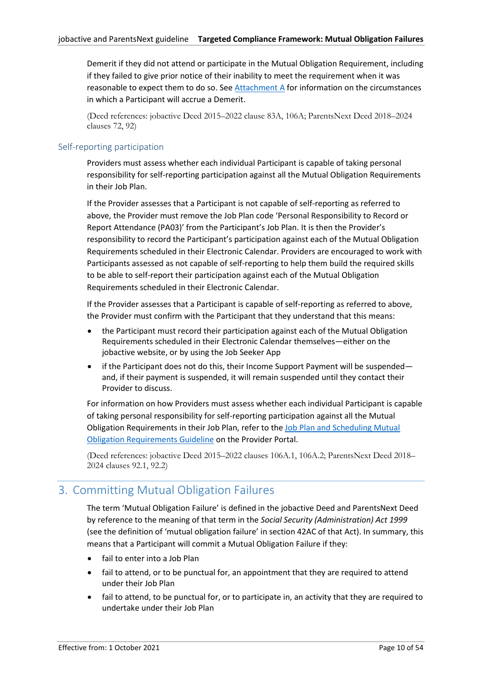Demerit if they did not attend or participate in the Mutual Obligation Requirement, including if they failed to give prior notice of their inability to meet the requirement when it was reasonable to expect them to do so. See [Attachment A](#page-28-0) for information on the circumstances in which a Participant will accrue a Demerit.

(Deed references: jobactive Deed 2015–2022 clause 83A, 106A; ParentsNext Deed 2018–2024 clauses 72, 92)

# <span id="page-9-0"></span>Self-reporting participation

Providers must assess whether each individual Participant is capable of taking personal responsibility for self-reporting participation against all the Mutual Obligation Requirements in their Job Plan.

If the Provider assesses that a Participant is not capable of self-reporting as referred to above, the Provider must remove the Job Plan code 'Personal Responsibility to Record or Report Attendance (PA03)' from the Participant's Job Plan. It is then the Provider's responsibility to record the Participant's participation against each of the Mutual Obligation Requirements scheduled in their Electronic Calendar. Providers are encouraged to work with Participants assessed as not capable of self-reporting to help them build the required skills to be able to self-report their participation against each of the Mutual Obligation Requirements scheduled in their Electronic Calendar.

If the Provider assesses that a Participant is capable of self-reporting as referred to above, the Provider must confirm with the Participant that they understand that this means:

- the Participant must record their participation against each of the Mutual Obligation Requirements scheduled in their Electronic Calendar themselves—either on the jobactive website, or by using the Job Seeker App
- if the Participant does not do this, their Income Support Payment will be suspended and, if their payment is suspended, it will remain suspended until they contact their Provider to discuss.

For information on how Providers must assess whether each individual Participant is capable of taking personal responsibility for self-reporting participation against all the Mutual Obligation Requirements in their Job Plan, refer to the [Job Plan and Scheduling Mutual](https://ecsnaccess.gov.au/ProviderPortal/jobactive/Guidelines/Pages/Participation-and-Compliance-Framework.aspx)  [Obligation Requirements Guideline](https://ecsnaccess.gov.au/ProviderPortal/jobactive/Guidelines/Pages/Participation-and-Compliance-Framework.aspx) on the Provider Portal.

(Deed references: jobactive Deed 2015–2022 clauses 106A.1, 106A.2; ParentsNext Deed 2018– 2024 clauses 92.1, 92.2)

# <span id="page-9-1"></span>3. Committing Mutual Obligation Failures

The term 'Mutual Obligation Failure' is defined in the jobactive Deed and ParentsNext Deed by reference to the meaning of that term in the *Social Security (Administration) Act 1999* (see the definition of 'mutual obligation failure' in section 42AC of that Act). In summary, this means that a Participant will commit a Mutual Obligation Failure if they:

- fail to enter into a Job Plan
- fail to attend, or to be punctual for, an appointment that they are required to attend under their Job Plan
- fail to attend, to be punctual for, or to participate in, an activity that they are required to undertake under their Job Plan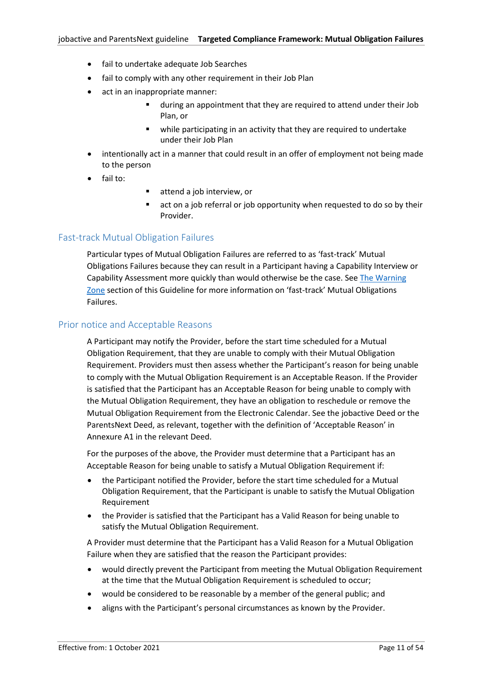- fail to undertake adequate Job Searches
- fail to comply with any other requirement in their Job Plan
- act in an inappropriate manner:
	- during an appointment that they are required to attend under their Job Plan, or
	- while participating in an activity that they are required to undertake under their Job Plan
- intentionally act in a manner that could result in an offer of employment not being made to the person
- fail to:
- attend a job interview, or
- act on a job referral or job opportunity when requested to do so by their Provider.

# <span id="page-10-0"></span>Fast-track Mutual Obligation Failures

Particular types of Mutual Obligation Failures are referred to as 'fast-track' Mutual Obligations Failures because they can result in a Participant having a Capability Interview or Capability Assessment more quickly than would otherwise be the case. Se[e The Warning](#page-5-2)  [Zone](#page-5-2) section of this Guideline for more information on 'fast-track' Mutual Obligations Failures.

#### <span id="page-10-1"></span>Prior notice and Acceptable Reasons

A Participant may notify the Provider, before the start time scheduled for a Mutual Obligation Requirement, that they are unable to comply with their Mutual Obligation Requirement. Providers must then assess whether the Participant's reason for being unable to comply with the Mutual Obligation Requirement is an Acceptable Reason. If the Provider is satisfied that the Participant has an Acceptable Reason for being unable to comply with the Mutual Obligation Requirement, they have an obligation to reschedule or remove the Mutual Obligation Requirement from the Electronic Calendar. See the jobactive Deed or the ParentsNext Deed, as relevant, together with the definition of 'Acceptable Reason' in Annexure A1 in the relevant Deed.

For the purposes of the above, the Provider must determine that a Participant has an Acceptable Reason for being unable to satisfy a Mutual Obligation Requirement if:

- the Participant notified the Provider, before the start time scheduled for a Mutual Obligation Requirement, that the Participant is unable to satisfy the Mutual Obligation Requirement
- the Provider is satisfied that the Participant has a Valid Reason for being unable to satisfy the Mutual Obligation Requirement.

A Provider must determine that the Participant has a Valid Reason for a Mutual Obligation Failure when they are satisfied that the reason the Participant provides:

- would directly prevent the Participant from meeting the Mutual Obligation Requirement at the time that the Mutual Obligation Requirement is scheduled to occur;
- would be considered to be reasonable by a member of the general public; and
- aligns with the Participant's personal circumstances as known by the Provider.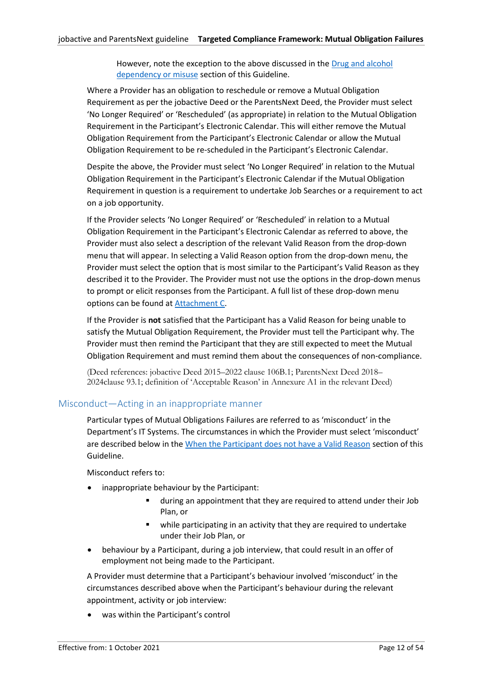However, note the exception to the above discussed in the [Drug and alcohol](#page-17-1)  [dependency or misuse](#page-17-1) section of this Guideline.

Where a Provider has an obligation to reschedule or remove a Mutual Obligation Requirement as per the jobactive Deed or the ParentsNext Deed, the Provider must select 'No Longer Required' or 'Rescheduled' (as appropriate) in relation to the Mutual Obligation Requirement in the Participant's Electronic Calendar. This will either remove the Mutual Obligation Requirement from the Participant's Electronic Calendar or allow the Mutual Obligation Requirement to be re-scheduled in the Participant's Electronic Calendar.

Despite the above, the Provider must select 'No Longer Required' in relation to the Mutual Obligation Requirement in the Participant's Electronic Calendar if the Mutual Obligation Requirement in question is a requirement to undertake Job Searches or a requirement to act on a job opportunity.

If the Provider selects 'No Longer Required' or 'Rescheduled' in relation to a Mutual Obligation Requirement in the Participant's Electronic Calendar as referred to above, the Provider must also select a description of the relevant Valid Reason from the drop-down menu that will appear. In selecting a Valid Reason option from the drop-down menu, the Provider must select the option that is most similar to the Participant's Valid Reason as they described it to the Provider. The Provider must not use the options in the drop-down menus to prompt or elicit responses from the Participant. A full list of these drop-down menu options can be found at [Attachment](#page-38-0) C.

If the Provider is **not** satisfied that the Participant has a Valid Reason for being unable to satisfy the Mutual Obligation Requirement, the Provider must tell the Participant why. The Provider must then remind the Participant that they are still expected to meet the Mutual Obligation Requirement and must remind them about the consequences of non‑compliance.

(Deed references: jobactive Deed 2015–2022 clause 106B.1; ParentsNext Deed 2018– 2024clause 93.1; definition of 'Acceptable Reason' in Annexure A1 in the relevant Deed)

# <span id="page-11-0"></span>Misconduct—Acting in an inappropriate manner

Particular types of Mutual Obligations Failures are referred to as 'misconduct' in the Department's IT Systems. The circumstances in which the Provider must select 'misconduct' are described below in th[e When the Participant does not have a Valid Reason](#page-18-0) section of this Guideline.

Misconduct refers to:

- inappropriate behaviour by the Participant:
	- during an appointment that they are required to attend under their Job Plan, or
	- while participating in an activity that they are required to undertake under their Job Plan, or
- behaviour by a Participant, during a job interview, that could result in an offer of employment not being made to the Participant.

A Provider must determine that a Participant's behaviour involved 'misconduct' in the circumstances described above when the Participant's behaviour during the relevant appointment, activity or job interview:

was within the Participant's control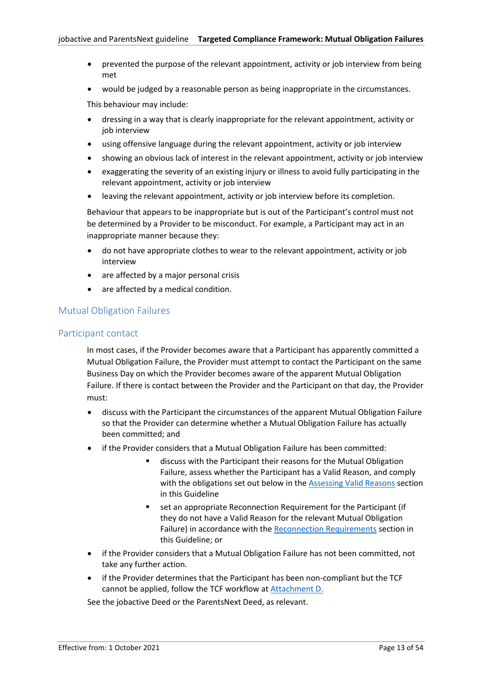- prevented the purpose of the relevant appointment, activity or job interview from being met
- would be judged by a reasonable person as being inappropriate in the circumstances.

This behaviour may include:

- dressing in a way that is clearly inappropriate for the relevant appointment, activity or job interview
- using offensive language during the relevant appointment, activity or job interview
- showing an obvious lack of interest in the relevant appointment, activity or job interview
- exaggerating the severity of an existing injury or illness to avoid fully participating in the relevant appointment, activity or job interview
- leaving the relevant appointment, activity or job interview before its completion.

Behaviour that appears to be inappropriate but is out of the Participant's control must not be determined by a Provider to be misconduct. For example, a Participant may act in an inappropriate manner because they:

- do not have appropriate clothes to wear to the relevant appointment, activity or job interview
- are affected by a major personal crisis
- are affected by a medical condition.

# <span id="page-12-1"></span><span id="page-12-0"></span>Mutual Obligation Failures

# Participant contact

In most cases, if the Provider becomes aware that a Participant has apparently committed a Mutual Obligation Failure, the Provider must attempt to contact the Participant on the same Business Day on which the Provider becomes aware of the apparent Mutual Obligation Failure. If there is contact between the Provider and the Participant on that day, the Provider must:

- discuss with the Participant the circumstances of the apparent Mutual Obligation Failure so that the Provider can determine whether a Mutual Obligation Failure has actually been committed; and
- if the Provider considers that a Mutual Obligation Failure has been committed:
	- discuss with the Participant their reasons for the Mutual Obligation Failure, assess whether the Participant has a Valid Reason, and comply with the obligations set out below in the [Assessing Valid Reasons](#page-17-2) section in this Guideline
	- set an appropriate Reconnection Requirement for the Participant (if they do not have a Valid Reason for the relevant Mutual Obligation Failure) in accordance with th[e Reconnection Requirements](#page-22-2) section in this Guideline; or
- if the Provider considers that a Mutual Obligation Failure has not been committed, not take any further action.
- if the Provider determines that the Participant has been non-compliant but the TCF cannot be applied, follow the TCF workflow at [Attachment D.](#page-39-0)

See the jobactive Deed or the ParentsNext Deed, as relevant.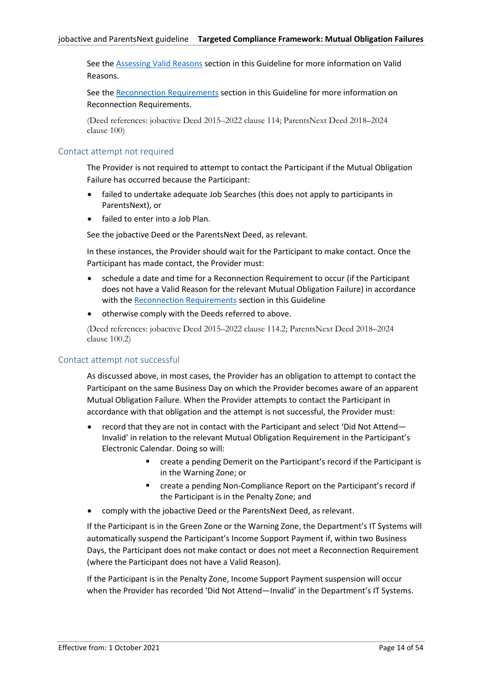See th[e Assessing Valid Reasons](#page-17-2) section in this Guideline for more information on Valid Reasons.

See the Reconnection [Requirements](#page-22-2) section in this Guideline for more information on Reconnection Requirements.

(Deed references: jobactive Deed 2015–2022 clause 114; ParentsNext Deed 2018–2024 clause 100)

# <span id="page-13-0"></span>Contact attempt not required

The Provider is not required to attempt to contact the Participant if the Mutual Obligation Failure has occurred because the Participant:

- failed to undertake adequate Job Searches (this does not apply to participants in ParentsNext), or
- failed to enter into a Job Plan.

See the jobactive Deed or the ParentsNext Deed, as relevant.

In these instances, the Provider should wait for the Participant to make contact. Once the Participant has made contact, the Provider must:

- schedule a date and time for a Reconnection Requirement to occur (if the Participant does not have a Valid Reason for the relevant Mutual Obligation Failure) in accordance with the [Reconnection Requirements](#page-22-2) section in this Guideline
- otherwise comply with the Deeds referred to above.

(Deed references: jobactive Deed 2015–2022 clause 114.2; ParentsNext Deed 2018–2024 clause 100.2)

#### <span id="page-13-1"></span>Contact attempt not successful

As discussed above, in most cases, the Provider has an obligation to attempt to contact the Participant on the same Business Day on which the Provider becomes aware of an apparent Mutual Obligation Failure. When the Provider attempts to contact the Participant in accordance with that obligation and the attempt is not successful, the Provider must:

- record that they are not in contact with the Participant and select 'Did Not Attend— Invalid' in relation to the relevant Mutual Obligation Requirement in the Participant's Electronic Calendar. Doing so will:
	- create a pending Demerit on the Participant's record if the Participant is in the Warning Zone; or
	- create a pending Non-Compliance Report on the Participant's record if the Participant is in the Penalty Zone; and
- comply with the jobactive Deed or the ParentsNext Deed, as relevant.

If the Participant is in the Green Zone or the Warning Zone, the Department's IT Systems will automatically suspend the Participant's Income Support Payment if, within two Business Days, the Participant does not make contact or does not meet a Reconnection Requirement (where the Participant does not have a Valid Reason).

If the Participant is in the Penalty Zone, Income Support Payment suspension will occur when the Provider has recorded 'Did Not Attend—Invalid' in the Department's IT Systems.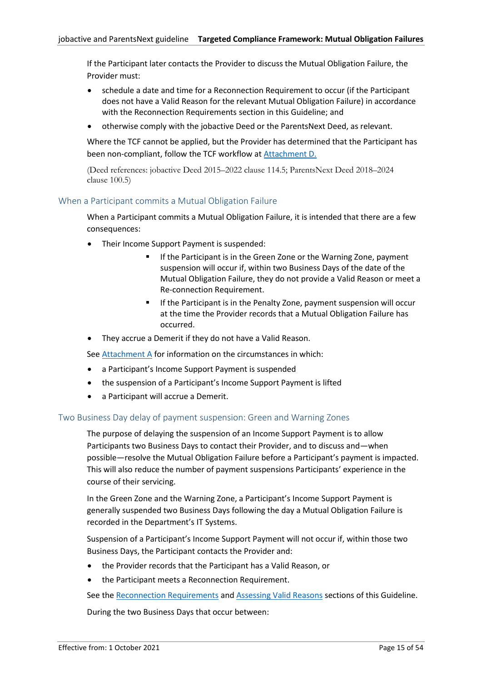If the Participant later contacts the Provider to discuss the Mutual Obligation Failure, the Provider must:

- schedule a date and time for a Reconnection Requirement to occur (if the Participant does not have a Valid Reason for the relevant Mutual Obligation Failure) in accordance with the [Reconnection Requirements](#page-22-2) section in this Guideline; and
- otherwise comply with the jobactive Deed or the ParentsNext Deed, as relevant.

Where the TCF cannot be applied, but the Provider has determined that the Participant has been non-compliant, follow the TCF workflow a[t Attachment D.](#page-39-0)

(Deed references: jobactive Deed 2015–2022 clause 114.5; ParentsNext Deed 2018–2024 clause 100.5)

# <span id="page-14-0"></span>When a Participant commits a Mutual Obligation Failure

When a Participant commits a Mutual Obligation Failure, it is intended that there are a few consequences:

- Their Income Support Payment is suspended:
	- If the Participant is in the Green Zone or the Warning Zone, payment suspension will occur if, within two Business Days of the date of the Mutual Obligation Failure, they do not provide a Valid Reason or meet a Re-connection Requirement.
	- If the Participant is in the Penalty Zone, payment suspension will occur at the time the Provider records that a Mutual Obligation Failure has occurred.
- They accrue a Demerit if they do not have a Valid Reason.

See [Attachment A](#page-28-0) for information on the circumstances in which:

- a Participant's Income Support Payment is suspended
- the suspension of a Participant's Income Support Payment is lifted
- a Participant will accrue a Demerit.

#### <span id="page-14-1"></span>Two Business Day delay of payment suspension: Green and Warning Zones

The purpose of delaying the suspension of an Income Support Payment is to allow Participants two Business Days to contact their Provider, and to discuss and—when possible—resolve the Mutual Obligation Failure before a Participant's payment is impacted. This will also reduce the number of payment suspensions Participants' experience in the course of their servicing.

In the Green Zone and the Warning Zone, a Participant's Income Support Payment is generally suspended two Business Days following the day a Mutual Obligation Failure is recorded in the Department's IT Systems.

Suspension of a Participant's Income Support Payment will not occur if, within those two Business Days, the Participant contacts the Provider and:

- the Provider records that the Participant has a Valid Reason, or
- the Participant meets a Reconnection Requirement.

See th[e Reconnection Requirements](#page-22-2) and [Assessing Valid Reasons](#page-17-2) sections of this Guideline.

During the two Business Days that occur between: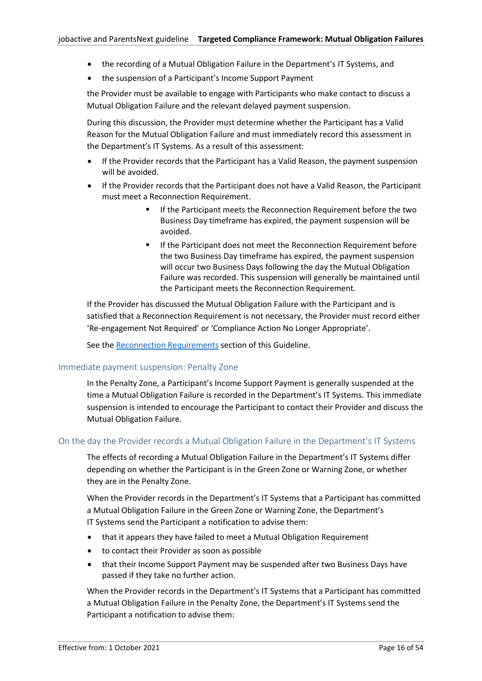- the recording of a Mutual Obligation Failure in the Department's IT Systems, and
- the suspension of a Participant's Income Support Payment

the Provider must be available to engage with Participants who make contact to discuss a Mutual Obligation Failure and the relevant delayed payment suspension.

During this discussion, the Provider must determine whether the Participant has a Valid Reason for the Mutual Obligation Failure and must immediately record this assessment in the Department's IT Systems. As a result of this assessment:

- If the Provider records that the Participant has a Valid Reason, the payment suspension will be avoided.
- If the Provider records that the Participant does not have a Valid Reason, the Participant must meet a Reconnection Requirement.
	- If the Participant meets the Reconnection Requirement before the two Business Day timeframe has expired, the payment suspension will be avoided.
	- If the Participant does not meet the Reconnection Requirement before the two Business Day timeframe has expired, the payment suspension will occur two Business Days following the day the Mutual Obligation Failure was recorded. This suspension will generally be maintained until the Participant meets the Reconnection Requirement.

If the Provider has discussed the Mutual Obligation Failure with the Participant and is satisfied that a Reconnection Requirement is not necessary, the Provider must record either 'Re-engagement Not Required' or 'Compliance Action No Longer Appropriate'.

See th[e Reconnection Requirements](#page-22-2) section of this Guideline.

#### <span id="page-15-0"></span>Immediate payment suspension: Penalty Zone

In the Penalty Zone, a Participant's Income Support Payment is generally suspended at the time a Mutual Obligation Failure is recorded in the Department's IT Systems. This immediate suspension is intended to encourage the Participant to contact their Provider and discuss the Mutual Obligation Failure.

#### <span id="page-15-1"></span>On the day the Provider records a Mutual Obligation Failure in the Department's IT Systems

The effects of recording a Mutual Obligation Failure in the Department's IT Systems differ depending on whether the Participant is in the Green Zone or Warning Zone, or whether they are in the Penalty Zone.

When the Provider records in the Department's IT Systems that a Participant has committed a Mutual Obligation Failure in the Green Zone or Warning Zone, the Department's IT Systems send the Participant a notification to advise them:

- that it appears they have failed to meet a Mutual Obligation Requirement
- to contact their Provider as soon as possible
- that their Income Support Payment may be suspended after two Business Days have passed if they take no further action.

When the Provider records in the Department's IT Systems that a Participant has committed a Mutual Obligation Failure in the Penalty Zone, the Department's IT Systems send the Participant a notification to advise them: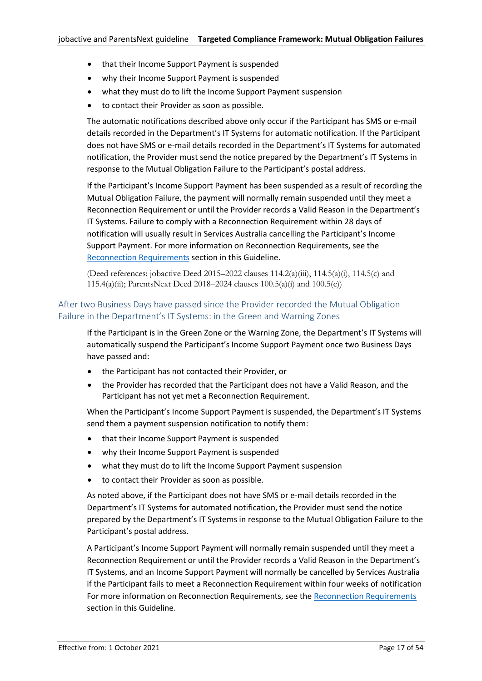- that their Income Support Payment is suspended
- why their Income Support Payment is suspended
- what they must do to lift the Income Support Payment suspension
- to contact their Provider as soon as possible.

The automatic notifications described above only occur if the Participant has SMS or e-mail details recorded in the Department's IT Systems for automatic notification. If the Participant does not have SMS or e-mail details recorded in the Department's IT Systems for automated notification, the Provider must send the notice prepared by the Department's IT Systems in response to the Mutual Obligation Failure to the Participant's postal address.

If the Participant's Income Support Payment has been suspended as a result of recording the Mutual Obligation Failure, the payment will normally remain suspended until they meet a Reconnection Requirement or until the Provider records a Valid Reason in the Department's IT Systems. Failure to comply with a Reconnection Requirement within 28 days of notification will usually result in Services Australia cancelling the Participant's Income Support Payment. For more information on Reconnection Requirements, see the [Reconnection Requirements](#page-22-2) section in this Guideline.

(Deed references: jobactive Deed 2015–2022 clauses 114.2(a)(iii), 114.5(a)(i), 114.5(c) and 115.4(a)(ii); ParentsNext Deed 2018–2024 clauses 100.5(a)(i) and 100.5(c))

# <span id="page-16-0"></span>After two Business Days have passed since the Provider recorded the Mutual Obligation Failure in the Department's IT Systems: in the Green and Warning Zones

If the Participant is in the Green Zone or the Warning Zone, the Department's IT Systems will automatically suspend the Participant's Income Support Payment once two Business Days have passed and:

- the Participant has not contacted their Provider, or
- the Provider has recorded that the Participant does not have a Valid Reason, and the Participant has not yet met a Reconnection Requirement.

When the Participant's Income Support Payment is suspended, the Department's IT Systems send them a payment suspension notification to notify them:

- that their Income Support Payment is suspended
- why their Income Support Payment is suspended
- what they must do to lift the Income Support Payment suspension
- to contact their Provider as soon as possible.

As noted above, if the Participant does not have SMS or e-mail details recorded in the Department's IT Systems for automated notification, the Provider must send the notice prepared by the Department's IT Systems in response to the Mutual Obligation Failure to the Participant's postal address.

A Participant's Income Support Payment will normally remain suspended until they meet a Reconnection Requirement or until the Provider records a Valid Reason in the Department's IT Systems, and an Income Support Payment will normally be cancelled by Services Australia if the Participant fails to meet a Reconnection Requirement within four weeks of notification For more information on [Reconnection Requirements](#page-22-2), see the Reconnection Requirements section in this Guideline.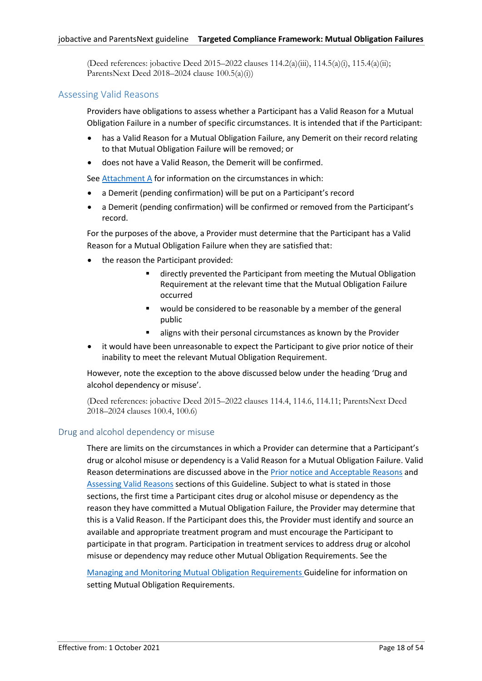(Deed references: jobactive Deed 2015–2022 clauses  $114.2(a)(iii)$ ,  $114.5(a)(i)$ ,  $115.4(a)(ii)$ ; ParentsNext Deed 2018–2024 clause 100.5(a)(i))

# <span id="page-17-2"></span><span id="page-17-0"></span>Assessing Valid Reasons

Providers have obligations to assess whether a Participant has a Valid Reason for a Mutual Obligation Failure in a number of specific circumstances. It is intended that if the Participant:

- has a Valid Reason for a Mutual Obligation Failure, any Demerit on their record relating to that Mutual Obligation Failure will be removed; or
- does not have a Valid Reason, the Demerit will be confirmed.

See [Attachment](#page-28-0) A for information on the circumstances in which:

- a Demerit (pending confirmation) will be put on a Participant's record
- a Demerit (pending confirmation) will be confirmed or removed from the Participant's record.

For the purposes of the above, a Provider must determine that the Participant has a Valid Reason for a Mutual Obligation Failure when they are satisfied that:

- the reason the Participant provided:
	- directly prevented the Participant from meeting the Mutual Obligation Requirement at the relevant time that the Mutual Obligation Failure occurred
	- would be considered to be reasonable by a member of the general public
	- aligns with their personal circumstances as known by the Provider
- it would have been unreasonable to expect the Participant to give prior notice of their inability to meet the relevant Mutual Obligation Requirement.

However, note the exception to the above discussed below under the heading 'Drug and alcohol dependency or misuse'.

(Deed references: jobactive Deed 2015–2022 clauses 114.4, 114.6, 114.11; ParentsNext Deed 2018–2024 clauses 100.4, 100.6)

#### <span id="page-17-1"></span>Drug and alcohol dependency or misuse

There are limits on the circumstances in which a Provider can determine that a Participant's drug or alcohol misuse or dependency is a Valid Reason for a Mutual Obligation Failure. Valid Reason determinations are discussed above in the [Prior notice and Acceptable Reasons](#page-10-1) and [Assessing Valid Reasons](#page-17-2) sections of this Guideline. Subject to what is stated in those sections, the first time a Participant cites drug or alcohol misuse or dependency as the reason they have committed a Mutual Obligation Failure, the Provider may determine that this is a Valid Reason. If the Participant does this, the Provider must identify and source an available and appropriate treatment program and must encourage the Participant to participate in that program. Participation in treatment services to address drug or alcohol misuse or dependency may reduce other Mutual Obligation Requirements. See the

[Managing and Monitoring Mutual Obligation Requirements](https://ecsnaccess.gov.au/ProviderPortal/jobactive/Guidelines/Pages/Participation-and-Compliance-Framework.aspx) Guideline for information on setting Mutual Obligation Requirements.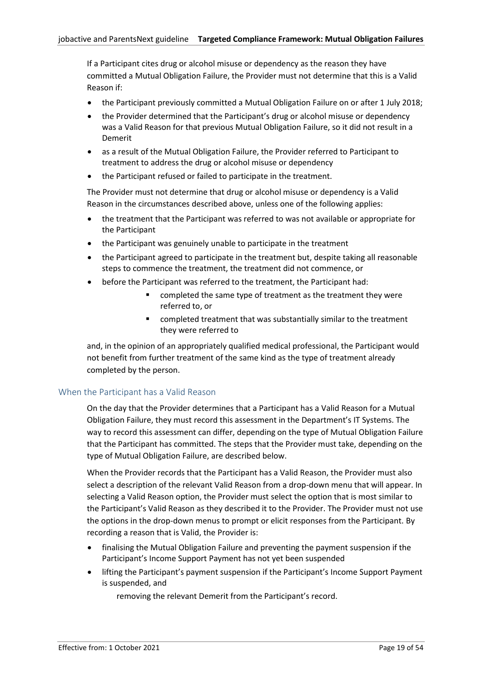If a Participant cites drug or alcohol misuse or dependency as the reason they have committed a Mutual Obligation Failure, the Provider must not determine that this is a Valid Reason if:

- the Participant previously committed a Mutual Obligation Failure on or after 1 July 2018;
- the Provider determined that the Participant's drug or alcohol misuse or dependency was a Valid Reason for that previous Mutual Obligation Failure, so it did not result in a Demerit
- as a result of the Mutual Obligation Failure, the Provider referred to Participant to treatment to address the drug or alcohol misuse or dependency
- the Participant refused or failed to participate in the treatment.

The Provider must not determine that drug or alcohol misuse or dependency is a Valid Reason in the circumstances described above, unless one of the following applies:

- the treatment that the Participant was referred to was not available or appropriate for the Participant
- the Participant was genuinely unable to participate in the treatment
- the Participant agreed to participate in the treatment but, despite taking all reasonable steps to commence the treatment, the treatment did not commence, or
- before the Participant was referred to the treatment, the Participant had:
	- completed the same type of treatment as the treatment they were referred to, or
	- completed treatment that was substantially similar to the treatment they were referred to

and, in the opinion of an appropriately qualified medical professional, the Participant would not benefit from further treatment of the same kind as the type of treatment already completed by the person.

# <span id="page-18-0"></span>When the Participant has a Valid Reason

On the day that the Provider determines that a Participant has a Valid Reason for a Mutual Obligation Failure, they must record this assessment in the Department's IT Systems. The way to record this assessment can differ, depending on the type of Mutual Obligation Failure that the Participant has committed. The steps that the Provider must take, depending on the type of Mutual Obligation Failure, are described below.

When the Provider records that the Participant has a Valid Reason, the Provider must also select a description of the relevant Valid Reason from a drop-down menu that will appear. In selecting a Valid Reason option, the Provider must select the option that is most similar to the Participant's Valid Reason as they described it to the Provider. The Provider must not use the options in the drop-down menus to prompt or elicit responses from the Participant. By recording a reason that is Valid, the Provider is:

- finalising the Mutual Obligation Failure and preventing the payment suspension if the Participant's Income Support Payment has not yet been suspended
- lifting the Participant's payment suspension if the Participant's Income Support Payment is suspended, and

removing the relevant Demerit from the Participant's record.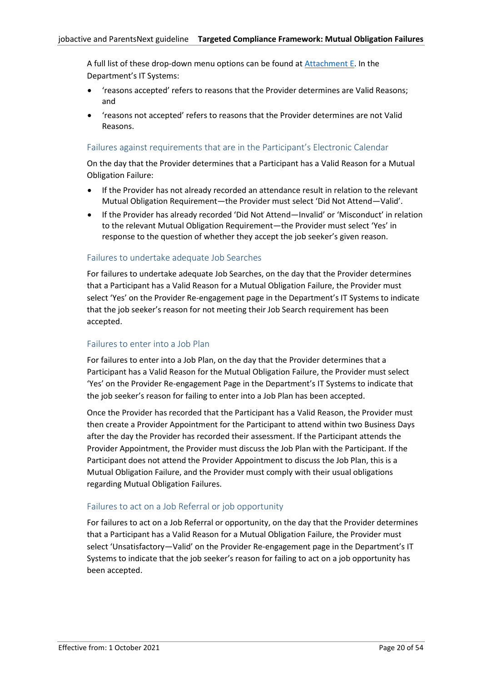A full list of these drop-down menu options can be found at [Attachment E.](#page-41-0) In the Department's IT Systems:

- 'reasons accepted' refers to reasons that the Provider determines are Valid Reasons; and
- 'reasons not accepted' refers to reasons that the Provider determines are not Valid Reasons.

# Failures against requirements that are in the Participant's Electronic Calendar

On the day that the Provider determines that a Participant has a Valid Reason for a Mutual Obligation Failure:

- If the Provider has not already recorded an attendance result in relation to the relevant Mutual Obligation Requirement—the Provider must select 'Did Not Attend—Valid'.
- If the Provider has already recorded 'Did Not Attend—Invalid' or 'Misconduct' in relation to the relevant Mutual Obligation Requirement—the Provider must select 'Yes' in response to the question of whether they accept the job seeker's given reason.

# Failures to undertake adequate Job Searches

For failures to undertake adequate Job Searches, on the day that the Provider determines that a Participant has a Valid Reason for a Mutual Obligation Failure, the Provider must select 'Yes' on the Provider Re-engagement page in the Department's IT Systems to indicate that the job seeker's reason for not meeting their Job Search requirement has been accepted.

#### Failures to enter into a Job Plan

For failures to enter into a Job Plan, on the day that the Provider determines that a Participant has a Valid Reason for the Mutual Obligation Failure, the Provider must select 'Yes' on the Provider Re-engagement Page in the Department's IT Systems to indicate that the job seeker's reason for failing to enter into a Job Plan has been accepted.

Once the Provider has recorded that the Participant has a Valid Reason, the Provider must then create a Provider Appointment for the Participant to attend within two Business Days after the day the Provider has recorded their assessment. If the Participant attends the Provider Appointment, the Provider must discuss the Job Plan with the Participant. If the Participant does not attend the Provider Appointment to discuss the Job Plan, this is a Mutual Obligation Failure, and the Provider must comply with their usual obligations regarding Mutual Obligation Failures.

# Failures to act on a Job Referral or job opportunity

For failures to act on a Job Referral or opportunity, on the day that the Provider determines that a Participant has a Valid Reason for a Mutual Obligation Failure, the Provider must select 'Unsatisfactory—Valid' on the Provider Re-engagement page in the Department's IT Systems to indicate that the job seeker's reason for failing to act on a job opportunity has been accepted.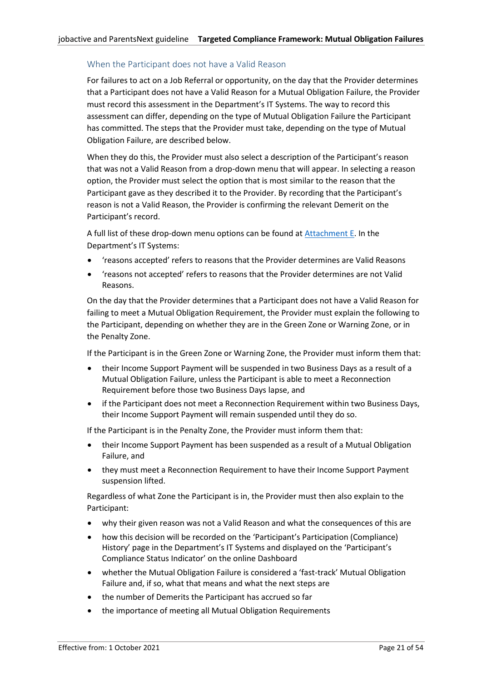# When the Participant does not have a Valid Reason

For failures to act on a Job Referral or opportunity, on the day that the Provider determines that a Participant does not have a Valid Reason for a Mutual Obligation Failure, the Provider must record this assessment in the Department's IT Systems. The way to record this assessment can differ, depending on the type of Mutual Obligation Failure the Participant has committed. The steps that the Provider must take, depending on the type of Mutual Obligation Failure, are described below.

When they do this, the Provider must also select a description of the Participant's reason that was not a Valid Reason from a drop-down menu that will appear. In selecting a reason option, the Provider must select the option that is most similar to the reason that the Participant gave as they described it to the Provider. By recording that the Participant's reason is not a Valid Reason, the Provider is confirming the relevant Demerit on the Participant's record.

A full list of these drop-down menu options can be found at [Attachment E.](#page-41-0) In the Department's IT Systems:

- 'reasons accepted' refers to reasons that the Provider determines are Valid Reasons
- 'reasons not accepted' refers to reasons that the Provider determines are not Valid Reasons.

On the day that the Provider determines that a Participant does not have a Valid Reason for failing to meet a Mutual Obligation Requirement, the Provider must explain the following to the Participant, depending on whether they are in the Green Zone or Warning Zone, or in the Penalty Zone.

If the Participant is in the Green Zone or Warning Zone, the Provider must inform them that:

- their Income Support Payment will be suspended in two Business Days as a result of a Mutual Obligation Failure, unless the Participant is able to meet a Reconnection Requirement before those two Business Days lapse, and
- if the Participant does not meet a Reconnection Requirement within two Business Days, their Income Support Payment will remain suspended until they do so.

If the Participant is in the Penalty Zone, the Provider must inform them that:

- their Income Support Payment has been suspended as a result of a Mutual Obligation Failure, and
- they must meet a Reconnection Requirement to have their Income Support Payment suspension lifted.

Regardless of what Zone the Participant is in, the Provider must then also explain to the Participant:

- why their given reason was not a Valid Reason and what the consequences of this are
- how this decision will be recorded on the 'Participant's Participation (Compliance) History' page in the Department's IT Systems and displayed on the 'Participant's Compliance Status Indicator' on the online Dashboard
- whether the Mutual Obligation Failure is considered a 'fast-track' Mutual Obligation Failure and, if so, what that means and what the next steps are
- the number of Demerits the Participant has accrued so far
- the importance of meeting all Mutual Obligation Requirements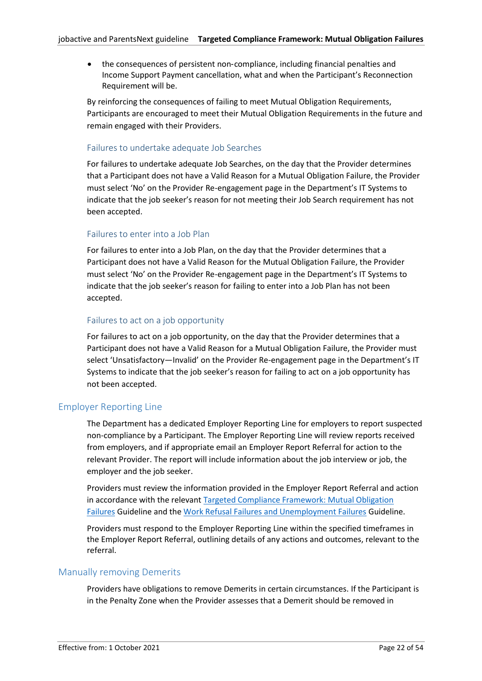• the consequences of persistent non‑compliance, including financial penalties and Income Support Payment cancellation, what and when the Participant's Reconnection Requirement will be.

By reinforcing the consequences of failing to meet Mutual Obligation Requirements, Participants are encouraged to meet their Mutual Obligation Requirements in the future and remain engaged with their Providers.

# <span id="page-21-2"></span>Failures to undertake adequate Job Searches

For failures to undertake adequate Job Searches, on the day that the Provider determines that a Participant does not have a Valid Reason for a Mutual Obligation Failure, the Provider must select 'No' on the Provider Re-engagement page in the Department's IT Systems to indicate that the job seeker's reason for not meeting their Job Search requirement has not been accepted.

# Failures to enter into a Job Plan

For failures to enter into a Job Plan, on the day that the Provider determines that a Participant does not have a Valid Reason for the Mutual Obligation Failure, the Provider must select 'No' on the Provider Re-engagement page in the Department's IT Systems to indicate that the job seeker's reason for failing to enter into a Job Plan has not been accepted.

# Failures to act on a job opportunity

For failures to act on a job opportunity, on the day that the Provider determines that a Participant does not have a Valid Reason for a Mutual Obligation Failure, the Provider must select 'Unsatisfactory—Invalid' on the Provider Re-engagement page in the Department's IT Systems to indicate that the job seeker's reason for failing to act on a job opportunity has not been accepted.

# <span id="page-21-0"></span>Employer Reporting Line

The Department has a dedicated Employer Reporting Line for employers to report suspected non-compliance by a Participant. The Employer Reporting Line will review reports received from employers, and if appropriate email an Employer Report Referral for action to the relevant Provider. The report will include information about the job interview or job, the employer and the job seeker.

Providers must review the information provided in the Employer Report Referral and action in accordance with the relevant [Targeted Compliance Framework: Mutual Obligation](https://ecsnaccess.gov.au/ProviderPortal/jobactive/Guidelines/Pages/Participation-and-Compliance-Framework.aspx)  [Failures](https://ecsnaccess.gov.au/ProviderPortal/jobactive/Guidelines/Pages/Participation-and-Compliance-Framework.aspx) Guideline and th[e Work Refusal Failures and Unemployment Failures](https://ecsnaccess.gov.au/ProviderPortal/jobactive/Guidelines/Pages/Participation-and-Compliance-Framework.aspx) Guideline.

Providers must respond to the Employer Reporting Line within the specified timeframes in the Employer Report Referral, outlining details of any actions and outcomes, relevant to the referral.

# <span id="page-21-1"></span>Manually removing Demerits

Providers have obligations to remove Demerits in certain circumstances. If the Participant is in the Penalty Zone when the Provider assesses that a Demerit should be removed in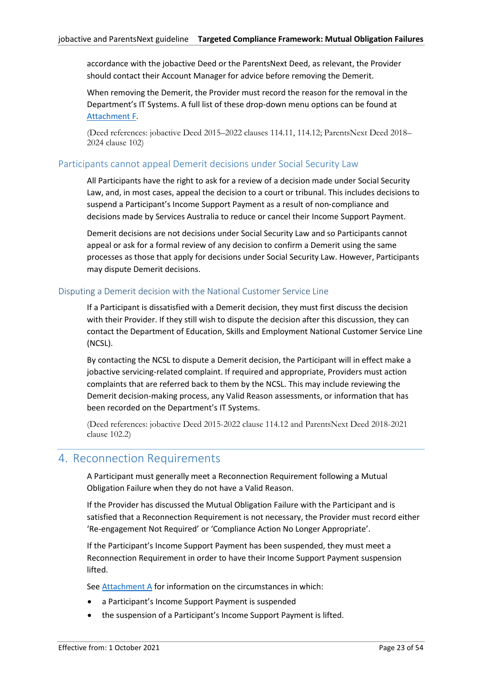accordance with the jobactive Deed or the ParentsNext Deed, as relevant, the Provider should contact their Account Manager for advice before removing the Demerit.

When removing the Demerit, the Provider must record the reason for the removal in the Department's IT Systems. A full list of these drop-down menu options can be found at [Attachment](#page-46-0) F.

(Deed references: jobactive Deed 2015–2022 clauses 114.11, 114.12; ParentsNext Deed 2018– 2024 clause 102)

# <span id="page-22-0"></span>Participants cannot appeal Demerit decisions under Social Security Law

All Participants have the right to ask for a review of a decision made under Social Security Law, and, in most cases, appeal the decision to a court or tribunal. This includes decisions to suspend a Participant's Income Support Payment as a result of non-compliance and decisions made by Services Australia to reduce or cancel their Income Support Payment.

Demerit decisions are not decisions under Social Security Law and so Participants cannot appeal or ask for a formal review of any decision to confirm a Demerit using the same processes as those that apply for decisions under Social Security Law. However, Participants may dispute Demerit decisions.

# <span id="page-22-1"></span>Disputing a Demerit decision with the National Customer Service Line

If a Participant is dissatisfied with a Demerit decision, they must first discuss the decision with their Provider. If they still wish to dispute the decision after this discussion, they can contact the Department of Education, Skills and Employment National Customer Service Line (NCSL).

By contacting the NCSL to dispute a Demerit decision, the Participant will in effect make a jobactive servicing-related complaint. If required and appropriate, Providers must action complaints that are referred back to them by the NCSL. This may include reviewing the Demerit decision-making process, any Valid Reason assessments, or information that has been recorded on the Department's IT Systems.

(Deed references: jobactive Deed 2015-2022 clause 114.12 and ParentsNext Deed 2018-2021 clause 102.2)

# <span id="page-22-2"></span>4. Reconnection Requirements

A Participant must generally meet a Reconnection Requirement following a Mutual Obligation Failure when they do not have a Valid Reason.

If the Provider has discussed the Mutual Obligation Failure with the Participant and is satisfied that a Reconnection Requirement is not necessary, the Provider must record either 'Re-engagement Not Required' or 'Compliance Action No Longer Appropriate'.

If the Participant's Income Support Payment has been suspended, they must meet a Reconnection Requirement in order to have their Income Support Payment suspension lifted.

See [Attachment](#page-28-0) A for information on the circumstances in which:

- a Participant's Income Support Payment is suspended
- the suspension of a Participant's Income Support Payment is lifted.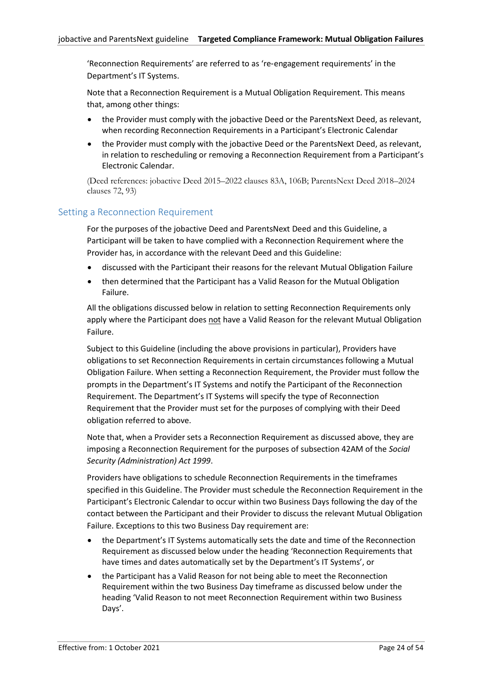'Reconnection Requirements' are referred to as 're‑engagement requirements' in the Department's IT Systems.

Note that a Reconnection Requirement is a Mutual Obligation Requirement. This means that, among other things:

- the Provider must comply with the jobactive Deed or the ParentsNext Deed, as relevant, when recording Reconnection Requirements in a Participant's Electronic Calendar
- the Provider must comply with the jobactive Deed or the ParentsNext Deed, as relevant, in relation to rescheduling or removing a Reconnection Requirement from a Participant's Electronic Calendar.

(Deed references: jobactive Deed 2015–2022 clauses 83A, 106B; ParentsNext Deed 2018–2024 clauses 72, 93)

# <span id="page-23-0"></span>Setting a Reconnection Requirement

For the purposes of the jobactive Deed and ParentsNext Deed and this Guideline, a Participant will be taken to have complied with a Reconnection Requirement where the Provider has, in accordance with the relevant Deed and this Guideline:

- discussed with the Participant their reasons for the relevant Mutual Obligation Failure
- then determined that the Participant has a Valid Reason for the Mutual Obligation Failure.

All the obligations discussed below in relation to setting Reconnection Requirements only apply where the Participant does not have a Valid Reason for the relevant Mutual Obligation Failure.

Subject to this Guideline (including the above provisions in particular), Providers have obligations to set Reconnection Requirements in certain circumstances following a Mutual Obligation Failure. When setting a Reconnection Requirement, the Provider must follow the prompts in the Department's IT Systems and notify the Participant of the Reconnection Requirement. The Department's IT Systems will specify the type of Reconnection Requirement that the Provider must set for the purposes of complying with their Deed obligation referred to above.

Note that, when a Provider sets a Reconnection Requirement as discussed above, they are imposing a Reconnection Requirement for the purposes of subsection 42AM of the *Social Security (Administration) Act 1999*.

Providers have obligations to schedule Reconnection Requirements in the timeframes specified in this Guideline. The Provider must schedule the Reconnection Requirement in the Participant's Electronic Calendar to occur within two Business Days following the day of the contact between the Participant and their Provider to discuss the relevant Mutual Obligation Failure. Exceptions to this two Business Day requirement are:

- the Department's IT Systems automatically sets the date and time of the Reconnection Requirement as discussed below under the heading 'Reconnection Requirements that have times and dates automatically set by the Department's IT Systems', or
- the Participant has a Valid Reason for not being able to meet the Reconnection Requirement within the two Business Day timeframe as discussed below under the heading 'Valid Reason to not meet Reconnection Requirement within two Business Days'.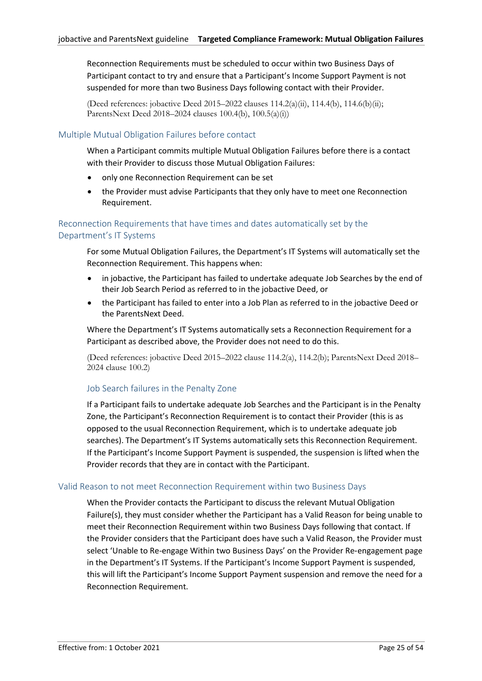Reconnection Requirements must be scheduled to occur within two Business Days of Participant contact to try and ensure that a Participant's Income Support Payment is not suspended for more than two Business Days following contact with their Provider.

(Deed references: jobactive Deed 2015–2022 clauses  $114.2(a)(ii)$ ,  $114.4(b)$ ,  $114.6(b)(ii)$ ; ParentsNext Deed 2018–2024 clauses 100.4(b), 100.5(a)(i))

## <span id="page-24-0"></span>Multiple Mutual Obligation Failures before contact

When a Participant commits multiple Mutual Obligation Failures before there is a contact with their Provider to discuss those Mutual Obligation Failures:

- only one Reconnection Requirement can be set
- the Provider must advise Participants that they only have to meet one Reconnection Requirement.

## <span id="page-24-1"></span>Reconnection Requirements that have times and dates automatically set by the Department's IT Systems

For some Mutual Obligation Failures, the Department's IT Systems will automatically set the Reconnection Requirement. This happens when:

- in jobactive, the Participant has failed to undertake adequate Job Searches by the end of their Job Search Period as referred to in the jobactive Deed, or
- the Participant has failed to enter into a Job Plan as referred to in the jobactive Deed or the ParentsNext Deed.

Where the Department's IT Systems automatically sets a Reconnection Requirement for a Participant as described above, the Provider does not need to do this.

(Deed references: jobactive Deed 2015–2022 clause 114.2(a), 114.2(b); ParentsNext Deed 2018– 2024 clause 100.2)

#### Job Search failures in the Penalty Zone

If a Participant fails to undertake adequate Job Searches and the Participant is in the Penalty Zone, the Participant's Reconnection Requirement is to contact their Provider (this is as opposed to the usual Reconnection Requirement, which is to undertake adequate job searches). The Department's IT Systems automatically sets this Reconnection Requirement. If the Participant's Income Support Payment is suspended, the suspension is lifted when the Provider records that they are in contact with the Participant.

#### <span id="page-24-2"></span>Valid Reason to not meet Reconnection Requirement within two Business Days

When the Provider contacts the Participant to discuss the relevant Mutual Obligation Failure(s), they must consider whether the Participant has a Valid Reason for being unable to meet their Reconnection Requirement within two Business Days following that contact. If the Provider considers that the Participant does have such a Valid Reason, the Provider must select 'Unable to Re-engage Within two Business Days' on the Provider Re-engagement page in the Department's IT Systems. If the Participant's Income Support Payment is suspended, this will lift the Participant's Income Support Payment suspension and remove the need for a Reconnection Requirement.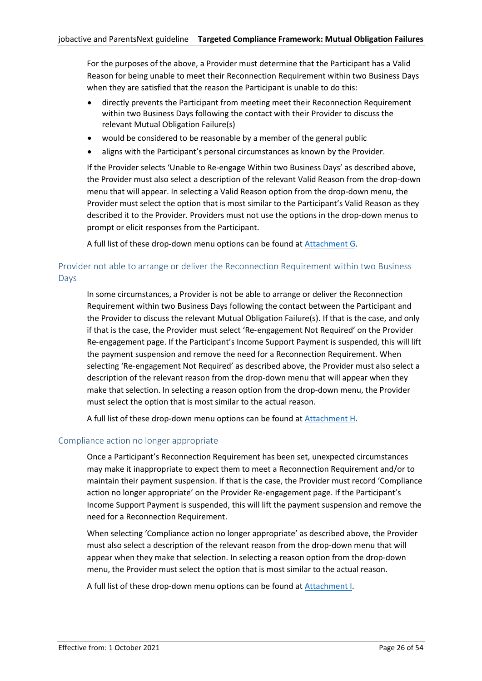For the purposes of the above, a Provider must determine that the Participant has a Valid Reason for being unable to meet their Reconnection Requirement within two Business Days when they are satisfied that the reason the Participant is unable to do this:

- directly prevents the Participant from meeting meet their Reconnection Requirement within two Business Days following the contact with their Provider to discuss the relevant Mutual Obligation Failure(s)
- would be considered to be reasonable by a member of the general public
- aligns with the Participant's personal circumstances as known by the Provider.

If the Provider selects 'Unable to Re-engage Within two Business Days' as described above, the Provider must also select a description of the relevant Valid Reason from the drop-down menu that will appear. In selecting a Valid Reason option from the drop-down menu, the Provider must select the option that is most similar to the Participant's Valid Reason as they described it to the Provider. Providers must not use the options in the drop-down menus to prompt or elicit responses from the Participant.

A full list of these drop-down menu options can be found at [Attachment](#page-50-0) G.

# <span id="page-25-0"></span>Provider not able to arrange or deliver the Reconnection Requirement within two Business Days

In some circumstances, a Provider is not be able to arrange or deliver the Reconnection Requirement within two Business Days following the contact between the Participant and the Provider to discuss the relevant Mutual Obligation Failure(s). If that is the case, and only if that is the case, the Provider must select 'Re‑engagement Not Required' on the Provider Re‑engagement page. If the Participant's Income Support Payment is suspended, this will lift the payment suspension and remove the need for a Reconnection Requirement. When selecting 'Re‑engagement Not Required' as described above, the Provider must also select a description of the relevant reason from the drop-down menu that will appear when they make that selection. In selecting a reason option from the drop-down menu, the Provider must select the option that is most similar to the actual reason.

A full list of these drop-down menu options can be found at [Attachment](#page-50-1) H.

#### <span id="page-25-1"></span>Compliance action no longer appropriate

Once a Participant's Reconnection Requirement has been set, unexpected circumstances may make it inappropriate to expect them to meet a Reconnection Requirement and/or to maintain their payment suspension. If that is the case, the Provider must record 'Compliance action no longer appropriate' on the Provider Re‑engagement page. If the Participant's Income Support Payment is suspended, this will lift the payment suspension and remove the need for a Reconnection Requirement.

When selecting 'Compliance action no longer appropriate' as described above, the Provider must also select a description of the relevant reason from the drop-down menu that will appear when they make that selection. In selecting a reason option from the drop-down menu, the Provider must select the option that is most similar to the actual reason.

A full list of these drop-down menu options can be found at [Attachment](#page-52-0) I.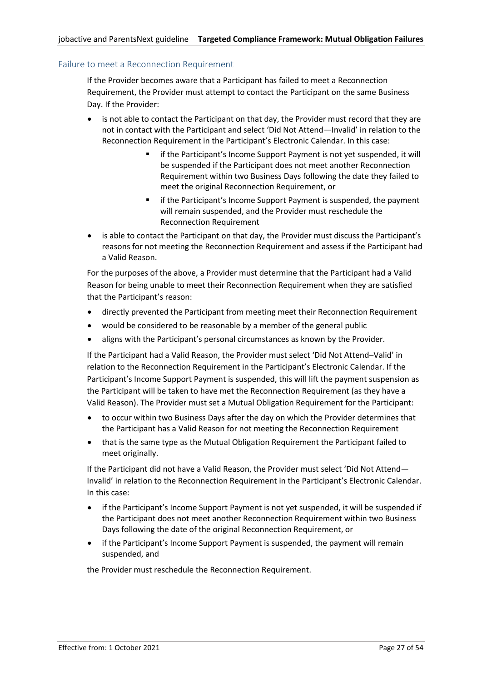## <span id="page-26-0"></span>Failure to meet a Reconnection Requirement

If the Provider becomes aware that a Participant has failed to meet a Reconnection Requirement, the Provider must attempt to contact the Participant on the same Business Day. If the Provider:

- is not able to contact the Participant on that day, the Provider must record that they are not in contact with the Participant and select 'Did Not Attend—Invalid' in relation to the Reconnection Requirement in the Participant's Electronic Calendar. In this case:
	- if the Participant's Income Support Payment is not yet suspended, it will be suspended if the Participant does not meet another Reconnection Requirement within two Business Days following the date they failed to meet the original Reconnection Requirement, or
	- if the Participant's Income Support Payment is suspended, the payment will remain suspended, and the Provider must reschedule the Reconnection Requirement
- is able to contact the Participant on that day, the Provider must discuss the Participant's reasons for not meeting the Reconnection Requirement and assess if the Participant had a Valid Reason.

For the purposes of the above, a Provider must determine that the Participant had a Valid Reason for being unable to meet their Reconnection Requirement when they are satisfied that the Participant's reason:

- directly prevented the Participant from meeting meet their Reconnection Requirement
- would be considered to be reasonable by a member of the general public
- aligns with the Participant's personal circumstances as known by the Provider.

If the Participant had a Valid Reason, the Provider must select 'Did Not Attend–Valid' in relation to the Reconnection Requirement in the Participant's Electronic Calendar. If the Participant's Income Support Payment is suspended, this will lift the payment suspension as the Participant will be taken to have met the Reconnection Requirement (as they have a Valid Reason). The Provider must set a Mutual Obligation Requirement for the Participant:

- to occur within two Business Days after the day on which the Provider determines that the Participant has a Valid Reason for not meeting the Reconnection Requirement
- that is the same type as the Mutual Obligation Requirement the Participant failed to meet originally.

If the Participant did not have a Valid Reason, the Provider must select 'Did Not Attend— Invalid' in relation to the Reconnection Requirement in the Participant's Electronic Calendar. In this case:

- if the Participant's Income Support Payment is not yet suspended, it will be suspended if the Participant does not meet another Reconnection Requirement within two Business Days following the date of the original Reconnection Requirement, or
- if the Participant's Income Support Payment is suspended, the payment will remain suspended, and

the Provider must reschedule the Reconnection Requirement.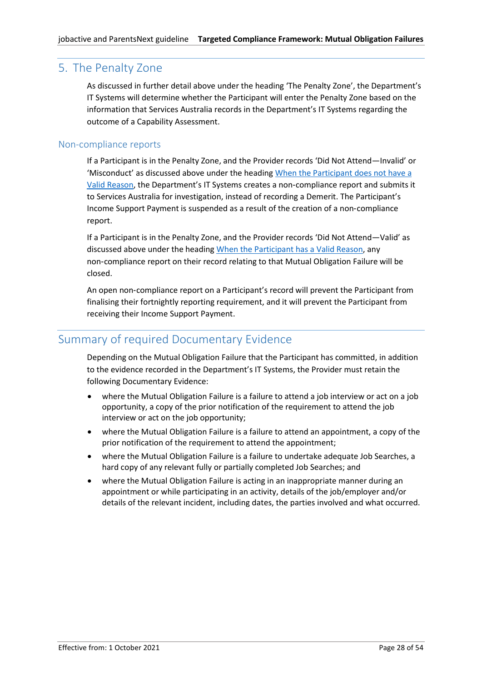# <span id="page-27-0"></span>5. The Penalty Zone

As discussed in further detail above under the heading 'The Penalty Zone', the Department's IT Systems will determine whether the Participant will enter the Penalty Zone based on the information that Services Australia records in the Department's IT Systems regarding the outcome of a Capability Assessment.

# <span id="page-27-1"></span>Non-compliance reports

If a Participant is in the Penalty Zone, and the Provider records 'Did Not Attend—Invalid' or 'Misconduct' as discussed above under the heading [When the Participant](#page-21-2) does not have a [Valid Reason](#page-21-2), the Department's IT Systems creates a non‑compliance report and submits it to Services Australia for investigation, instead of recording a Demerit. The Participant's Income Support Payment is suspended as a result of the creation of a non‑compliance report.

If a Participant is in the Penalty Zone, and the Provider records 'Did Not Attend—Valid' as discussed above under the heading [When the Participant](#page-18-0) has a Valid Reason, any non‑compliance report on their record relating to that Mutual Obligation Failure will be closed.

An open non‑compliance report on a Participant's record will prevent the Participant from finalising their fortnightly reporting requirement, and it will prevent the Participant from receiving their Income Support Payment.

# <span id="page-27-2"></span>Summary of required Documentary Evidence

Depending on the Mutual Obligation Failure that the Participant has committed, in addition to the evidence recorded in the Department's IT Systems, the Provider must retain the following Documentary Evidence:

- where the Mutual Obligation Failure is a failure to attend a job interview or act on a job opportunity, a copy of the prior notification of the requirement to attend the job interview or act on the job opportunity;
- where the Mutual Obligation Failure is a failure to attend an appointment, a copy of the prior notification of the requirement to attend the appointment;
- where the Mutual Obligation Failure is a failure to undertake adequate Job Searches, a hard copy of any relevant fully or partially completed Job Searches; and
- where the Mutual Obligation Failure is acting in an inappropriate manner during an appointment or while participating in an activity, details of the job/employer and/or details of the relevant incident, including dates, the parties involved and what occurred.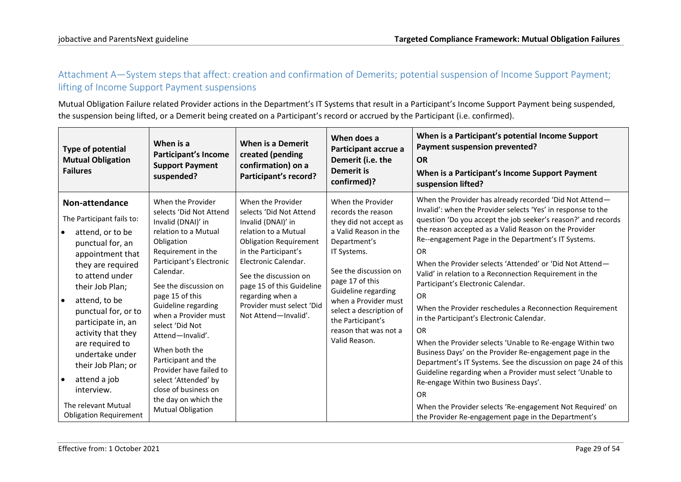# Attachment A—System steps that affect: creation and confirmation of Demerits; potential suspension of Income Support Payment; lifting of Income Support Payment suspensions

Mutual Obligation Failure related Provider actions in the Department's IT Systems that result in a Participant's Income Support Payment being suspended, the suspension being lifted, or a Demerit being created on a Participant's record or accrued by the Participant (i.e. confirmed).

<span id="page-28-0"></span>

| <b>Type of potential</b><br><b>Mutual Obligation</b><br><b>Failures</b>                                                                                                                                                                                                                                                                                                                                                             | When is a<br><b>Participant's Income</b><br><b>Support Payment</b><br>suspended?                                                                                                                                                                                                                                                                                                                                                                                                 | When is a Demerit<br>created (pending<br>confirmation) on a<br>Participant's record?                                                                                                                                                                                                                       | When does a<br>Participant accrue a<br>Demerit (i.e. the<br><b>Demerit is</b><br>confirmed)?                                                                                                                                                                                                                   | When is a Participant's potential Income Support<br>Payment suspension prevented?<br><b>OR</b><br>When is a Participant's Income Support Payment<br>suspension lifted?                                                                                                                                                                                                                                                                                                                                                                                                                                                                                                                                                                                                                                                                                                                                                                                                                                                                           |
|-------------------------------------------------------------------------------------------------------------------------------------------------------------------------------------------------------------------------------------------------------------------------------------------------------------------------------------------------------------------------------------------------------------------------------------|----------------------------------------------------------------------------------------------------------------------------------------------------------------------------------------------------------------------------------------------------------------------------------------------------------------------------------------------------------------------------------------------------------------------------------------------------------------------------------|------------------------------------------------------------------------------------------------------------------------------------------------------------------------------------------------------------------------------------------------------------------------------------------------------------|----------------------------------------------------------------------------------------------------------------------------------------------------------------------------------------------------------------------------------------------------------------------------------------------------------------|--------------------------------------------------------------------------------------------------------------------------------------------------------------------------------------------------------------------------------------------------------------------------------------------------------------------------------------------------------------------------------------------------------------------------------------------------------------------------------------------------------------------------------------------------------------------------------------------------------------------------------------------------------------------------------------------------------------------------------------------------------------------------------------------------------------------------------------------------------------------------------------------------------------------------------------------------------------------------------------------------------------------------------------------------|
| Non-attendance<br>The Participant fails to:<br>attend, or to be<br>$\bullet$<br>punctual for, an<br>appointment that<br>they are required<br>to attend under<br>their Job Plan;<br>attend, to be<br>ه ا<br>punctual for, or to<br>participate in, an<br>activity that they<br>are required to<br>undertake under<br>their Job Plan; or<br>attend a job<br>∣ ●<br>interview.<br>The relevant Mutual<br><b>Obligation Requirement</b> | When the Provider<br>selects 'Did Not Attend<br>Invalid (DNAI)' in<br>relation to a Mutual<br>Obligation<br>Requirement in the<br>Participant's Electronic<br>Calendar.<br>See the discussion on<br>page 15 of this<br>Guideline regarding<br>when a Provider must<br>select 'Did Not<br>Attend-Invalid'.<br>When both the<br>Participant and the<br>Provider have failed to<br>select 'Attended' by<br>close of business on<br>the day on which the<br><b>Mutual Obligation</b> | When the Provider<br>selects 'Did Not Attend<br>Invalid (DNAI)' in<br>relation to a Mutual<br><b>Obligation Requirement</b><br>in the Participant's<br>Electronic Calendar.<br>See the discussion on<br>page 15 of this Guideline<br>regarding when a<br>Provider must select 'Did<br>Not Attend-Invalid'. | When the Provider<br>records the reason<br>they did not accept as<br>a Valid Reason in the<br>Department's<br>IT Systems.<br>See the discussion on<br>page 17 of this<br>Guideline regarding<br>when a Provider must<br>select a description of<br>the Participant's<br>reason that was not a<br>Valid Reason. | When the Provider has already recorded 'Did Not Attend-<br>Invalid': when the Provider selects 'Yes' in response to the<br>question 'Do you accept the job seeker's reason?' and records<br>the reason accepted as a Valid Reason on the Provider<br>Re--engagement Page in the Department's IT Systems.<br>OR<br>When the Provider selects 'Attended' or 'Did Not Attend-<br>Valid' in relation to a Reconnection Requirement in the<br>Participant's Electronic Calendar.<br><b>OR</b><br>When the Provider reschedules a Reconnection Requirement<br>in the Participant's Electronic Calendar.<br><b>OR</b><br>When the Provider selects 'Unable to Re-engage Within two<br>Business Days' on the Provider Re-engagement page in the<br>Department's IT Systems. See the discussion on page 24 of this<br>Guideline regarding when a Provider must select 'Unable to<br>Re-engage Within two Business Days'.<br><b>OR</b><br>When the Provider selects 'Re-engagement Not Required' on<br>the Provider Re-engagement page in the Department's |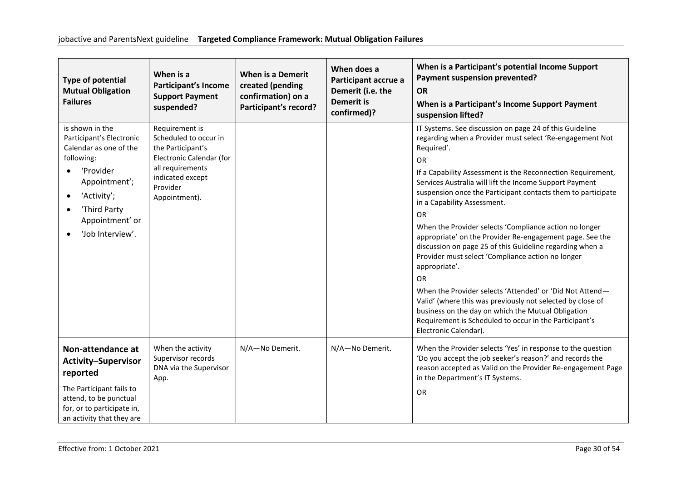| <b>Type of potential</b><br><b>Mutual Obligation</b><br><b>Failures</b>                                                                                                                              | When is a<br><b>Participant's Income</b><br><b>Support Payment</b><br>suspended?                                                                              | <b>When is a Demerit</b><br>created (pending<br>confirmation) on a<br>Participant's record? | When does a<br>Participant accrue a<br>Demerit (i.e. the<br><b>Demerit is</b><br>confirmed)? | When is a Participant's potential Income Support<br>Payment suspension prevented?<br><b>OR</b><br>When is a Participant's Income Support Payment<br>suspension lifted?                                                                                                                                                                                                                                                                                                                                                                                                                                                                                                                                                                                                                                                                                                                                         |
|------------------------------------------------------------------------------------------------------------------------------------------------------------------------------------------------------|---------------------------------------------------------------------------------------------------------------------------------------------------------------|---------------------------------------------------------------------------------------------|----------------------------------------------------------------------------------------------|----------------------------------------------------------------------------------------------------------------------------------------------------------------------------------------------------------------------------------------------------------------------------------------------------------------------------------------------------------------------------------------------------------------------------------------------------------------------------------------------------------------------------------------------------------------------------------------------------------------------------------------------------------------------------------------------------------------------------------------------------------------------------------------------------------------------------------------------------------------------------------------------------------------|
| is shown in the<br>Participant's Electronic<br>Calendar as one of the<br>following:<br>'Provider<br>Appointment';<br>'Activity';<br>$\bullet$<br>'Third Party<br>Appointment' or<br>'Job Interview'. | Requirement is<br>Scheduled to occur in<br>the Participant's<br>Electronic Calendar (for<br>all requirements<br>indicated except<br>Provider<br>Appointment). |                                                                                             |                                                                                              | IT Systems. See discussion on page 24 of this Guideline<br>regarding when a Provider must select 'Re-engagement Not<br>Required'.<br>OR<br>If a Capability Assessment is the Reconnection Requirement,<br>Services Australia will lift the Income Support Payment<br>suspension once the Participant contacts them to participate<br>in a Capability Assessment.<br><b>OR</b><br>When the Provider selects 'Compliance action no longer<br>appropriate' on the Provider Re-engagement page. See the<br>discussion on page 25 of this Guideline regarding when a<br>Provider must select 'Compliance action no longer<br>appropriate'.<br>OR<br>When the Provider selects 'Attended' or 'Did Not Attend-<br>Valid' (where this was previously not selected by close of<br>business on the day on which the Mutual Obligation<br>Requirement is Scheduled to occur in the Participant's<br>Electronic Calendar). |
| Non-attendance at<br><b>Activity-Supervisor</b><br>reported<br>The Participant fails to<br>attend, to be punctual<br>for, or to participate in,<br>an activity that they are                         | When the activity<br>Supervisor records<br>DNA via the Supervisor<br>App.                                                                                     | N/A-No Demerit.                                                                             | N/A-No Demerit.                                                                              | When the Provider selects 'Yes' in response to the question<br>'Do you accept the job seeker's reason?' and records the<br>reason accepted as Valid on the Provider Re-engagement Page<br>in the Department's IT Systems.<br><b>OR</b>                                                                                                                                                                                                                                                                                                                                                                                                                                                                                                                                                                                                                                                                         |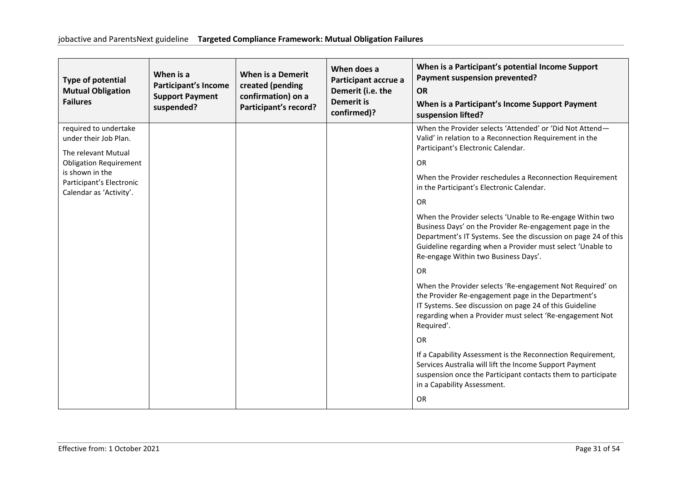| <b>Type of potential</b><br><b>Mutual Obligation</b><br><b>Failures</b> | When is a<br><b>Participant's Income</b><br><b>Support Payment</b><br>suspended? | When is a Demerit<br>created (pending<br>confirmation) on a<br>Participant's record? | When does a<br>Participant accrue a<br>Demerit (i.e. the<br><b>Demerit is</b><br>confirmed)? | When is a Participant's potential Income Support<br>Payment suspension prevented?<br><b>OR</b><br>When is a Participant's Income Support Payment<br>suspension lifted?                                                                                                                        |
|-------------------------------------------------------------------------|----------------------------------------------------------------------------------|--------------------------------------------------------------------------------------|----------------------------------------------------------------------------------------------|-----------------------------------------------------------------------------------------------------------------------------------------------------------------------------------------------------------------------------------------------------------------------------------------------|
| required to undertake<br>under their Job Plan.                          |                                                                                  |                                                                                      |                                                                                              | When the Provider selects 'Attended' or 'Did Not Attend-<br>Valid' in relation to a Reconnection Requirement in the<br>Participant's Electronic Calendar.                                                                                                                                     |
| The relevant Mutual<br><b>Obligation Requirement</b>                    |                                                                                  |                                                                                      |                                                                                              | <b>OR</b>                                                                                                                                                                                                                                                                                     |
| is shown in the<br>Participant's Electronic<br>Calendar as 'Activity'.  |                                                                                  |                                                                                      |                                                                                              | When the Provider reschedules a Reconnection Requirement<br>in the Participant's Electronic Calendar.                                                                                                                                                                                         |
|                                                                         |                                                                                  |                                                                                      |                                                                                              | <b>OR</b>                                                                                                                                                                                                                                                                                     |
|                                                                         |                                                                                  |                                                                                      |                                                                                              | When the Provider selects 'Unable to Re-engage Within two<br>Business Days' on the Provider Re-engagement page in the<br>Department's IT Systems. See the discussion on page 24 of this<br>Guideline regarding when a Provider must select 'Unable to<br>Re-engage Within two Business Days'. |
|                                                                         |                                                                                  |                                                                                      |                                                                                              | <b>OR</b>                                                                                                                                                                                                                                                                                     |
|                                                                         |                                                                                  |                                                                                      |                                                                                              | When the Provider selects 'Re-engagement Not Required' on<br>the Provider Re-engagement page in the Department's<br>IT Systems. See discussion on page 24 of this Guideline<br>regarding when a Provider must select 'Re-engagement Not<br>Required'.                                         |
|                                                                         |                                                                                  |                                                                                      |                                                                                              | <b>OR</b>                                                                                                                                                                                                                                                                                     |
|                                                                         |                                                                                  |                                                                                      |                                                                                              | If a Capability Assessment is the Reconnection Requirement,<br>Services Australia will lift the Income Support Payment<br>suspension once the Participant contacts them to participate<br>in a Capability Assessment.                                                                         |
|                                                                         |                                                                                  |                                                                                      |                                                                                              | <b>OR</b>                                                                                                                                                                                                                                                                                     |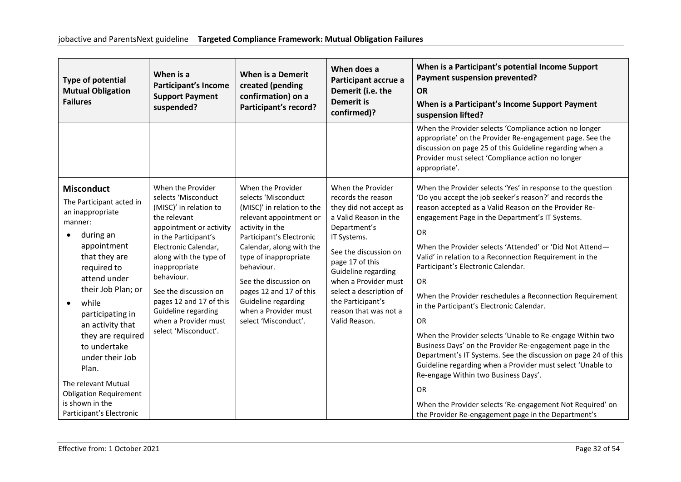| <b>Type of potential</b><br><b>Mutual Obligation</b><br><b>Failures</b>                                                                                                                                                                                                                                                                                                          | When is a<br><b>Participant's Income</b><br><b>Support Payment</b><br>suspended?                                                                                                                                                                                                                                                                  | <b>When is a Demerit</b><br>created (pending<br>confirmation) on a<br>Participant's record?                                                                                                                                                                                                                                                    | When does a<br>Participant accrue a<br>Demerit (i.e. the<br><b>Demerit is</b><br>confirmed)?                                                                                                                                                                                                                   | When is a Participant's potential Income Support<br>Payment suspension prevented?<br><b>OR</b><br>When is a Participant's Income Support Payment<br>suspension lifted?                                                                                                                                                                                                                                                                                                                                                                                                                                                                                                                                                                                                                                                                                                                                        |
|----------------------------------------------------------------------------------------------------------------------------------------------------------------------------------------------------------------------------------------------------------------------------------------------------------------------------------------------------------------------------------|---------------------------------------------------------------------------------------------------------------------------------------------------------------------------------------------------------------------------------------------------------------------------------------------------------------------------------------------------|------------------------------------------------------------------------------------------------------------------------------------------------------------------------------------------------------------------------------------------------------------------------------------------------------------------------------------------------|----------------------------------------------------------------------------------------------------------------------------------------------------------------------------------------------------------------------------------------------------------------------------------------------------------------|---------------------------------------------------------------------------------------------------------------------------------------------------------------------------------------------------------------------------------------------------------------------------------------------------------------------------------------------------------------------------------------------------------------------------------------------------------------------------------------------------------------------------------------------------------------------------------------------------------------------------------------------------------------------------------------------------------------------------------------------------------------------------------------------------------------------------------------------------------------------------------------------------------------|
|                                                                                                                                                                                                                                                                                                                                                                                  |                                                                                                                                                                                                                                                                                                                                                   |                                                                                                                                                                                                                                                                                                                                                |                                                                                                                                                                                                                                                                                                                | When the Provider selects 'Compliance action no longer<br>appropriate' on the Provider Re-engagement page. See the<br>discussion on page 25 of this Guideline regarding when a<br>Provider must select 'Compliance action no longer<br>appropriate'.                                                                                                                                                                                                                                                                                                                                                                                                                                                                                                                                                                                                                                                          |
| <b>Misconduct</b><br>The Participant acted in<br>an inappropriate<br>manner:<br>during an<br>٠<br>appointment<br>that they are<br>required to<br>attend under<br>their Job Plan; or<br>while<br>participating in<br>an activity that<br>they are required<br>to undertake<br>under their Job<br>Plan.<br>The relevant Mutual<br><b>Obligation Requirement</b><br>is shown in the | When the Provider<br>selects 'Misconduct<br>(MISC)' in relation to<br>the relevant<br>appointment or activity<br>in the Participant's<br>Electronic Calendar,<br>along with the type of<br>inappropriate<br>behaviour.<br>See the discussion on<br>pages 12 and 17 of this<br>Guideline regarding<br>when a Provider must<br>select 'Misconduct'. | When the Provider<br>selects 'Misconduct<br>(MISC)' in relation to the<br>relevant appointment or<br>activity in the<br>Participant's Electronic<br>Calendar, along with the<br>type of inappropriate<br>behaviour.<br>See the discussion on<br>pages 12 and 17 of this<br>Guideline regarding<br>when a Provider must<br>select 'Misconduct'. | When the Provider<br>records the reason<br>they did not accept as<br>a Valid Reason in the<br>Department's<br>IT Systems.<br>See the discussion on<br>page 17 of this<br>Guideline regarding<br>when a Provider must<br>select a description of<br>the Participant's<br>reason that was not a<br>Valid Reason. | When the Provider selects 'Yes' in response to the question<br>'Do you accept the job seeker's reason?' and records the<br>reason accepted as a Valid Reason on the Provider Re-<br>engagement Page in the Department's IT Systems.<br>OR<br>When the Provider selects 'Attended' or 'Did Not Attend-<br>Valid' in relation to a Reconnection Requirement in the<br>Participant's Electronic Calendar.<br><b>OR</b><br>When the Provider reschedules a Reconnection Requirement<br>in the Participant's Electronic Calendar.<br>OR<br>When the Provider selects 'Unable to Re-engage Within two<br>Business Days' on the Provider Re-engagement page in the<br>Department's IT Systems. See the discussion on page 24 of this<br>Guideline regarding when a Provider must select 'Unable to<br>Re-engage Within two Business Days'.<br><b>OR</b><br>When the Provider selects 'Re-engagement Not Required' on |
| Participant's Electronic                                                                                                                                                                                                                                                                                                                                                         |                                                                                                                                                                                                                                                                                                                                                   |                                                                                                                                                                                                                                                                                                                                                |                                                                                                                                                                                                                                                                                                                | the Provider Re-engagement page in the Department's                                                                                                                                                                                                                                                                                                                                                                                                                                                                                                                                                                                                                                                                                                                                                                                                                                                           |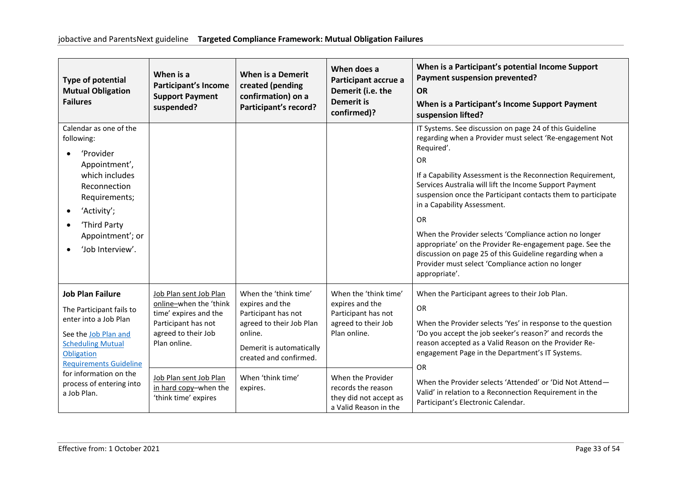| <b>Type of potential</b><br><b>Mutual Obligation</b><br><b>Failures</b>                                                                                                                                                                              | When is a<br><b>Participant's Income</b><br><b>Support Payment</b><br>suspended?                                                                                                                                   | <b>When is a Demerit</b><br>created (pending<br>confirmation) on a<br>Participant's record?                                                                                                   | When does a<br>Participant accrue a<br>Demerit (i.e. the<br><b>Demerit is</b><br>confirmed)?                                                                                                         | When is a Participant's potential Income Support<br>Payment suspension prevented?<br><b>OR</b><br>When is a Participant's Income Support Payment<br>suspension lifted?                                                                                                                                                                                                                                                                                                                                                                                                                                                                       |
|------------------------------------------------------------------------------------------------------------------------------------------------------------------------------------------------------------------------------------------------------|--------------------------------------------------------------------------------------------------------------------------------------------------------------------------------------------------------------------|-----------------------------------------------------------------------------------------------------------------------------------------------------------------------------------------------|------------------------------------------------------------------------------------------------------------------------------------------------------------------------------------------------------|----------------------------------------------------------------------------------------------------------------------------------------------------------------------------------------------------------------------------------------------------------------------------------------------------------------------------------------------------------------------------------------------------------------------------------------------------------------------------------------------------------------------------------------------------------------------------------------------------------------------------------------------|
| Calendar as one of the<br>following:<br>'Provider<br>Appointment',<br>which includes<br>Reconnection<br>Requirements;<br>'Activity';<br>$\bullet$<br>'Third Party<br>Appointment'; or<br>'Job Interview'.                                            |                                                                                                                                                                                                                    |                                                                                                                                                                                               |                                                                                                                                                                                                      | IT Systems. See discussion on page 24 of this Guideline<br>regarding when a Provider must select 'Re-engagement Not<br>Required'.<br><b>OR</b><br>If a Capability Assessment is the Reconnection Requirement,<br>Services Australia will lift the Income Support Payment<br>suspension once the Participant contacts them to participate<br>in a Capability Assessment.<br><b>OR</b><br>When the Provider selects 'Compliance action no longer<br>appropriate' on the Provider Re-engagement page. See the<br>discussion on page 25 of this Guideline regarding when a<br>Provider must select 'Compliance action no longer<br>appropriate'. |
| <b>Job Plan Failure</b><br>The Participant fails to<br>enter into a Job Plan<br>See the Job Plan and<br><b>Scheduling Mutual</b><br>Obligation<br><b>Requirements Guideline</b><br>for information on the<br>process of entering into<br>a Job Plan. | Job Plan sent Job Plan<br>online-when the 'think<br>time' expires and the<br>Participant has not<br>agreed to their Job<br>Plan online.<br>Job Plan sent Job Plan<br>in hard copy-when the<br>'think time' expires | When the 'think time'<br>expires and the<br>Participant has not<br>agreed to their Job Plan<br>online.<br>Demerit is automatically<br>created and confirmed.<br>When 'think time'<br>expires. | When the 'think time'<br>expires and the<br>Participant has not<br>agreed to their Job<br>Plan online.<br>When the Provider<br>records the reason<br>they did not accept as<br>a Valid Reason in the | When the Participant agrees to their Job Plan.<br><b>OR</b><br>When the Provider selects 'Yes' in response to the question<br>'Do you accept the job seeker's reason?' and records the<br>reason accepted as a Valid Reason on the Provider Re-<br>engagement Page in the Department's IT Systems.<br><b>OR</b><br>When the Provider selects 'Attended' or 'Did Not Attend-<br>Valid' in relation to a Reconnection Requirement in the<br>Participant's Electronic Calendar.                                                                                                                                                                 |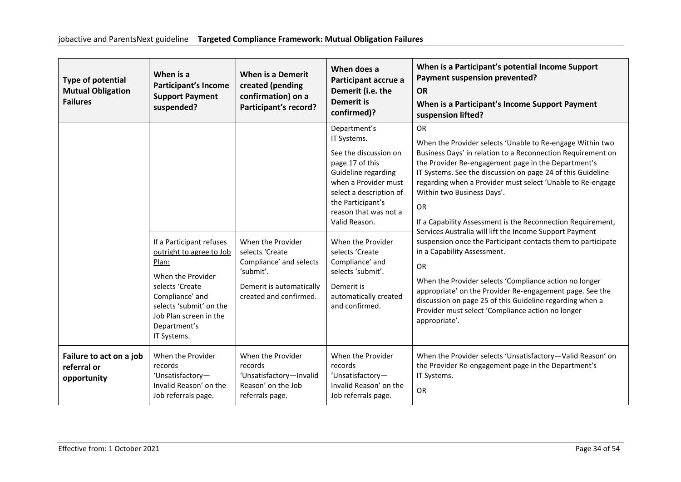| <b>Type of potential</b><br><b>Mutual Obligation</b><br><b>Failures</b> | When is a<br><b>Participant's Income</b><br><b>Support Payment</b><br>suspended?                                                                                                                             | <b>When is a Demerit</b><br>created (pending<br>confirmation) on a<br>Participant's record?                                        | When does a<br>Participant accrue a<br>Demerit (i.e. the<br><b>Demerit is</b><br>confirmed)?                                                                                                                                                                                                                                                              | When is a Participant's potential Income Support<br>Payment suspension prevented?<br><b>OR</b><br>When is a Participant's Income Support Payment<br>suspension lifted?                                                                                                                                                                                                                                                                                                                                                                                                                                                                                                                                                                                                                                                                                      |
|-------------------------------------------------------------------------|--------------------------------------------------------------------------------------------------------------------------------------------------------------------------------------------------------------|------------------------------------------------------------------------------------------------------------------------------------|-----------------------------------------------------------------------------------------------------------------------------------------------------------------------------------------------------------------------------------------------------------------------------------------------------------------------------------------------------------|-------------------------------------------------------------------------------------------------------------------------------------------------------------------------------------------------------------------------------------------------------------------------------------------------------------------------------------------------------------------------------------------------------------------------------------------------------------------------------------------------------------------------------------------------------------------------------------------------------------------------------------------------------------------------------------------------------------------------------------------------------------------------------------------------------------------------------------------------------------|
|                                                                         | If a Participant refuses<br>outright to agree to Job<br>Plan:<br>When the Provider<br>selects 'Create<br>Compliance' and<br>selects 'submit' on the<br>Job Plan screen in the<br>Department's<br>IT Systems. | When the Provider<br>selects 'Create<br>Compliance' and selects<br>'submit'.<br>Demerit is automatically<br>created and confirmed. | Department's<br>IT Systems.<br>See the discussion on<br>page 17 of this<br>Guideline regarding<br>when a Provider must<br>select a description of<br>the Participant's<br>reason that was not a<br>Valid Reason.<br>When the Provider<br>selects 'Create<br>Compliance' and<br>selects 'submit'.<br>Demerit is<br>automatically created<br>and confirmed. | <b>OR</b><br>When the Provider selects 'Unable to Re-engage Within two<br>Business Days' in relation to a Reconnection Requirement on<br>the Provider Re-engagement page in the Department's<br>IT Systems. See the discussion on page 24 of this Guideline<br>regarding when a Provider must select 'Unable to Re-engage<br>Within two Business Days'.<br>OR<br>If a Capability Assessment is the Reconnection Requirement,<br>Services Australia will lift the Income Support Payment<br>suspension once the Participant contacts them to participate<br>in a Capability Assessment.<br><b>OR</b><br>When the Provider selects 'Compliance action no longer<br>appropriate' on the Provider Re-engagement page. See the<br>discussion on page 25 of this Guideline regarding when a<br>Provider must select 'Compliance action no longer<br>appropriate'. |
| Failure to act on a job<br>referral or<br>opportunity                   | When the Provider<br>records<br>'Unsatisfactory-<br>Invalid Reason' on the<br>Job referrals page.                                                                                                            | When the Provider<br>records<br>'Unsatisfactory-Invalid<br>Reason' on the Job<br>referrals page.                                   | When the Provider<br>records<br>'Unsatisfactory-<br>Invalid Reason' on the<br>Job referrals page.                                                                                                                                                                                                                                                         | When the Provider selects 'Unsatisfactory-Valid Reason' on<br>the Provider Re-engagement page in the Department's<br>IT Systems.<br><b>OR</b>                                                                                                                                                                                                                                                                                                                                                                                                                                                                                                                                                                                                                                                                                                               |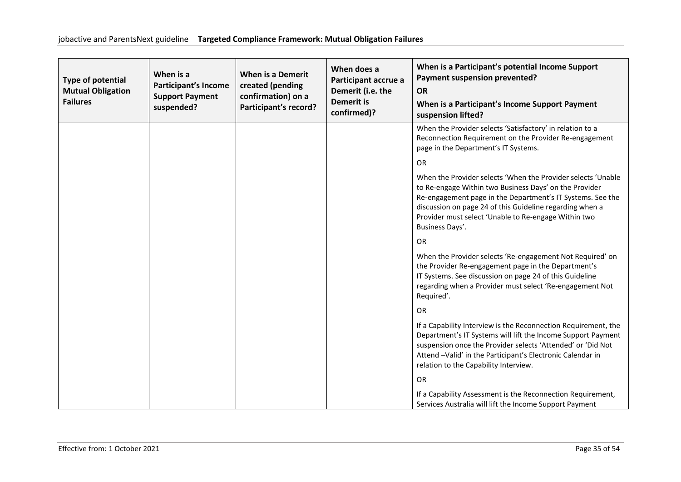| <b>Type of potential</b><br><b>Mutual Obligation</b><br><b>Failures</b> | When is a<br><b>Participant's Income</b><br><b>Support Payment</b><br>suspended? | <b>When is a Demerit</b><br>created (pending<br>confirmation) on a<br>Participant's record? | When does a<br>Participant accrue a<br>Demerit (i.e. the<br><b>Demerit is</b><br>confirmed)? | When is a Participant's potential Income Support<br>Payment suspension prevented?<br><b>OR</b><br>When is a Participant's Income Support Payment<br>suspension lifted?                                                                                                                                                      |
|-------------------------------------------------------------------------|----------------------------------------------------------------------------------|---------------------------------------------------------------------------------------------|----------------------------------------------------------------------------------------------|-----------------------------------------------------------------------------------------------------------------------------------------------------------------------------------------------------------------------------------------------------------------------------------------------------------------------------|
|                                                                         |                                                                                  |                                                                                             |                                                                                              | When the Provider selects 'Satisfactory' in relation to a<br>Reconnection Requirement on the Provider Re-engagement<br>page in the Department's IT Systems.                                                                                                                                                                 |
|                                                                         |                                                                                  |                                                                                             |                                                                                              | <b>OR</b>                                                                                                                                                                                                                                                                                                                   |
|                                                                         |                                                                                  |                                                                                             |                                                                                              | When the Provider selects 'When the Provider selects 'Unable<br>to Re-engage Within two Business Days' on the Provider<br>Re-engagement page in the Department's IT Systems. See the<br>discussion on page 24 of this Guideline regarding when a<br>Provider must select 'Unable to Re-engage Within two<br>Business Days'. |
|                                                                         |                                                                                  |                                                                                             |                                                                                              | <b>OR</b>                                                                                                                                                                                                                                                                                                                   |
|                                                                         |                                                                                  |                                                                                             |                                                                                              | When the Provider selects 'Re-engagement Not Required' on<br>the Provider Re-engagement page in the Department's<br>IT Systems. See discussion on page 24 of this Guideline<br>regarding when a Provider must select 'Re-engagement Not<br>Required'.                                                                       |
|                                                                         |                                                                                  |                                                                                             |                                                                                              | <b>OR</b>                                                                                                                                                                                                                                                                                                                   |
|                                                                         |                                                                                  |                                                                                             |                                                                                              | If a Capability Interview is the Reconnection Requirement, the<br>Department's IT Systems will lift the Income Support Payment<br>suspension once the Provider selects 'Attended' or 'Did Not<br>Attend -Valid' in the Participant's Electronic Calendar in<br>relation to the Capability Interview.                        |
|                                                                         |                                                                                  |                                                                                             |                                                                                              | OR                                                                                                                                                                                                                                                                                                                          |
|                                                                         |                                                                                  |                                                                                             |                                                                                              | If a Capability Assessment is the Reconnection Requirement,<br>Services Australia will lift the Income Support Payment                                                                                                                                                                                                      |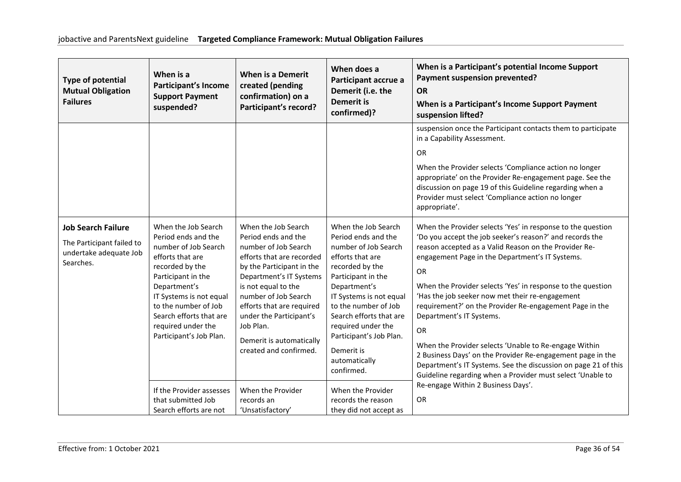| <b>Type of potential</b><br><b>Mutual Obligation</b><br><b>Failures</b>                       | When is a<br><b>Participant's Income</b><br><b>Support Payment</b><br>suspended?                                                                                                                                                                                               | <b>When is a Demerit</b><br>created (pending<br>confirmation) on a<br>Participant's record?                                                                                                                                                                                                                                       | When does a<br>Participant accrue a<br>Demerit (i.e. the<br><b>Demerit is</b><br>confirmed)?                                                                                                                                                                                                                                | When is a Participant's potential Income Support<br>Payment suspension prevented?<br><b>OR</b><br>When is a Participant's Income Support Payment<br>suspension lifted?                                                                                                                                                                                                                                                                                                                                                                                                                                                                                                                                                        |
|-----------------------------------------------------------------------------------------------|--------------------------------------------------------------------------------------------------------------------------------------------------------------------------------------------------------------------------------------------------------------------------------|-----------------------------------------------------------------------------------------------------------------------------------------------------------------------------------------------------------------------------------------------------------------------------------------------------------------------------------|-----------------------------------------------------------------------------------------------------------------------------------------------------------------------------------------------------------------------------------------------------------------------------------------------------------------------------|-------------------------------------------------------------------------------------------------------------------------------------------------------------------------------------------------------------------------------------------------------------------------------------------------------------------------------------------------------------------------------------------------------------------------------------------------------------------------------------------------------------------------------------------------------------------------------------------------------------------------------------------------------------------------------------------------------------------------------|
|                                                                                               |                                                                                                                                                                                                                                                                                |                                                                                                                                                                                                                                                                                                                                   |                                                                                                                                                                                                                                                                                                                             | suspension once the Participant contacts them to participate<br>in a Capability Assessment.<br><b>OR</b><br>When the Provider selects 'Compliance action no longer<br>appropriate' on the Provider Re-engagement page. See the<br>discussion on page 19 of this Guideline regarding when a<br>Provider must select 'Compliance action no longer<br>appropriate'.                                                                                                                                                                                                                                                                                                                                                              |
| <b>Job Search Failure</b><br>The Participant failed to<br>undertake adequate Job<br>Searches. | When the Job Search<br>Period ends and the<br>number of Job Search<br>efforts that are<br>recorded by the<br>Participant in the<br>Department's<br>IT Systems is not equal<br>to the number of Job<br>Search efforts that are<br>required under the<br>Participant's Job Plan. | When the Job Search<br>Period ends and the<br>number of Job Search<br>efforts that are recorded<br>by the Participant in the<br>Department's IT Systems<br>is not equal to the<br>number of Job Search<br>efforts that are required<br>under the Participant's<br>Job Plan.<br>Demerit is automatically<br>created and confirmed. | When the Job Search<br>Period ends and the<br>number of Job Search<br>efforts that are<br>recorded by the<br>Participant in the<br>Department's<br>IT Systems is not equal<br>to the number of Job<br>Search efforts that are<br>required under the<br>Participant's Job Plan.<br>Demerit is<br>automatically<br>confirmed. | When the Provider selects 'Yes' in response to the question<br>'Do you accept the job seeker's reason?' and records the<br>reason accepted as a Valid Reason on the Provider Re-<br>engagement Page in the Department's IT Systems.<br><b>OR</b><br>When the Provider selects 'Yes' in response to the question<br>'Has the job seeker now met their re-engagement<br>requirement?' on the Provider Re-engagement Page in the<br>Department's IT Systems.<br><b>OR</b><br>When the Provider selects 'Unable to Re-engage Within<br>2 Business Days' on the Provider Re-engagement page in the<br>Department's IT Systems. See the discussion on page 21 of this<br>Guideline regarding when a Provider must select 'Unable to |
|                                                                                               | If the Provider assesses<br>that submitted Job<br>Search efforts are not                                                                                                                                                                                                       | When the Provider<br>records an<br>'Unsatisfactory'                                                                                                                                                                                                                                                                               | When the Provider<br>records the reason<br>they did not accept as                                                                                                                                                                                                                                                           | Re-engage Within 2 Business Days'.<br><b>OR</b>                                                                                                                                                                                                                                                                                                                                                                                                                                                                                                                                                                                                                                                                               |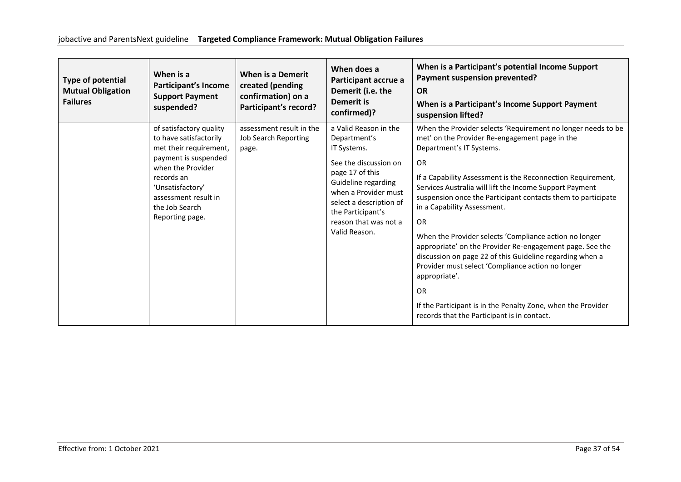| Type of potential<br><b>Mutual Obligation</b><br><b>Failures</b> | When is a<br><b>Participant's Income</b><br><b>Support Payment</b><br>suspended?                                                                                                                                        | <b>When is a Demerit</b><br>created (pending<br>confirmation) on a<br>Participant's record? | When does a<br>Participant accrue a<br>Demerit (i.e. the<br><b>Demerit is</b><br>confirmed)?                                                                                                                                              | When is a Participant's potential Income Support<br>Payment suspension prevented?<br><b>OR</b><br>When is a Participant's Income Support Payment<br>suspension lifted?                                                                                                                                                                                                                                                                                                                                                                                                                                                                                                                                                                                                            |
|------------------------------------------------------------------|-------------------------------------------------------------------------------------------------------------------------------------------------------------------------------------------------------------------------|---------------------------------------------------------------------------------------------|-------------------------------------------------------------------------------------------------------------------------------------------------------------------------------------------------------------------------------------------|-----------------------------------------------------------------------------------------------------------------------------------------------------------------------------------------------------------------------------------------------------------------------------------------------------------------------------------------------------------------------------------------------------------------------------------------------------------------------------------------------------------------------------------------------------------------------------------------------------------------------------------------------------------------------------------------------------------------------------------------------------------------------------------|
|                                                                  | of satisfactory quality<br>to have satisfactorily<br>met their requirement,<br>payment is suspended<br>when the Provider<br>records an<br>'Unsatisfactory'<br>assessment result in<br>the Job Search<br>Reporting page. | assessment result in the<br>Job Search Reporting<br>page.                                   | a Valid Reason in the<br>Department's<br>IT Systems.<br>See the discussion on<br>page 17 of this<br>Guideline regarding<br>when a Provider must<br>select a description of<br>the Participant's<br>reason that was not a<br>Valid Reason. | When the Provider selects 'Requirement no longer needs to be<br>met' on the Provider Re-engagement page in the<br>Department's IT Systems.<br><b>OR</b><br>If a Capability Assessment is the Reconnection Requirement,<br>Services Australia will lift the Income Support Payment<br>suspension once the Participant contacts them to participate<br>in a Capability Assessment.<br><b>OR</b><br>When the Provider selects 'Compliance action no longer<br>appropriate' on the Provider Re-engagement page. See the<br>discussion on page 22 of this Guideline regarding when a<br>Provider must select 'Compliance action no longer<br>appropriate'.<br><b>OR</b><br>If the Participant is in the Penalty Zone, when the Provider<br>records that the Participant is in contact. |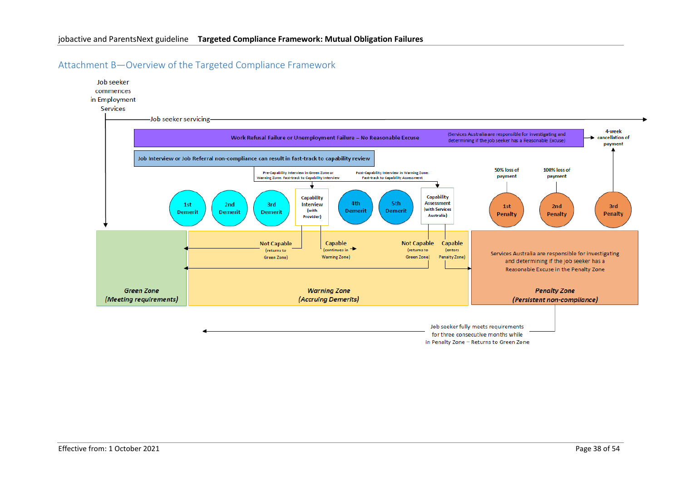

<span id="page-37-0"></span>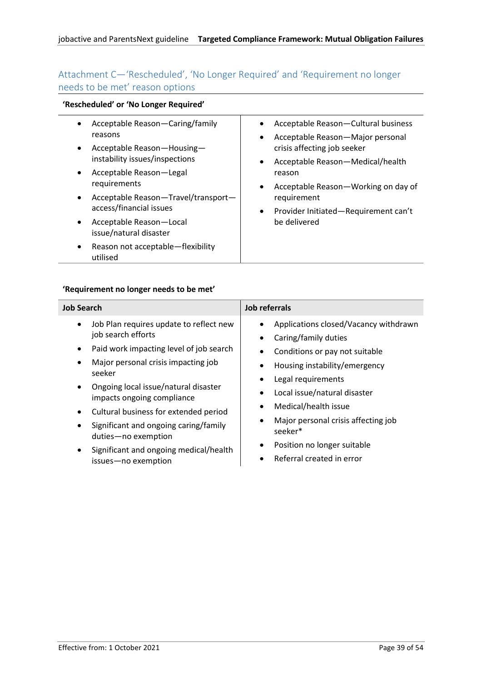# <span id="page-38-0"></span>Attachment C—'Rescheduled', 'No Longer Required' and 'Requirement no longer needs to be met' reason options

# **'Rescheduled' or 'No Longer Required'**

|           | Acceptable Reason-Caring/family<br>reasons                | Acceptable Reason-Cultural business                                          |
|-----------|-----------------------------------------------------------|------------------------------------------------------------------------------|
| $\bullet$ | Acceptable Reason-Housing-                                | Acceptable Reason-Major personal<br>$\bullet$<br>crisis affecting job seeker |
|           | instability issues/inspections<br>Acceptable Reason-Legal | Acceptable Reason-Medical/health<br>$\bullet$<br>reason                      |
| ٠         | requirements<br>Acceptable Reason-Travel/transport-       | Acceptable Reason-Working on day of<br>$\bullet$<br>requirement              |
|           | access/financial issues                                   | Provider Initiated-Requirement can't<br>$\bullet$                            |
|           | Acceptable Reason-Local<br>issue/natural disaster         | be delivered                                                                 |
| ٠         | Reason not acceptable-flexibility<br>utilised             |                                                                              |

# **'Requirement no longer needs to be met'**

| <b>Job Search</b>                                                                                                                                                                                                                                                                                                                                                                                                                   | Job referrals                                                                                                                                                                                                                                                                                                                                                 |
|-------------------------------------------------------------------------------------------------------------------------------------------------------------------------------------------------------------------------------------------------------------------------------------------------------------------------------------------------------------------------------------------------------------------------------------|---------------------------------------------------------------------------------------------------------------------------------------------------------------------------------------------------------------------------------------------------------------------------------------------------------------------------------------------------------------|
| Job Plan requires update to reflect new<br>$\bullet$<br>job search efforts<br>Paid work impacting level of job search<br>Major personal crisis impacting job<br>seeker<br>Ongoing local issue/natural disaster<br>impacts ongoing compliance<br>Cultural business for extended period<br>$\bullet$<br>Significant and ongoing caring/family<br>duties-no exemption<br>Significant and ongoing medical/health<br>issues-no exemption | Applications closed/Vacancy withdrawn<br>Caring/family duties<br>Conditions or pay not suitable<br>Housing instability/emergency<br>Legal requirements<br>Local issue/natural disaster<br>$\bullet$<br>Medical/health issue<br>٠<br>Major personal crisis affecting job<br>٠<br>seeker*<br>Position no longer suitable<br>٠<br>Referral created in error<br>٠ |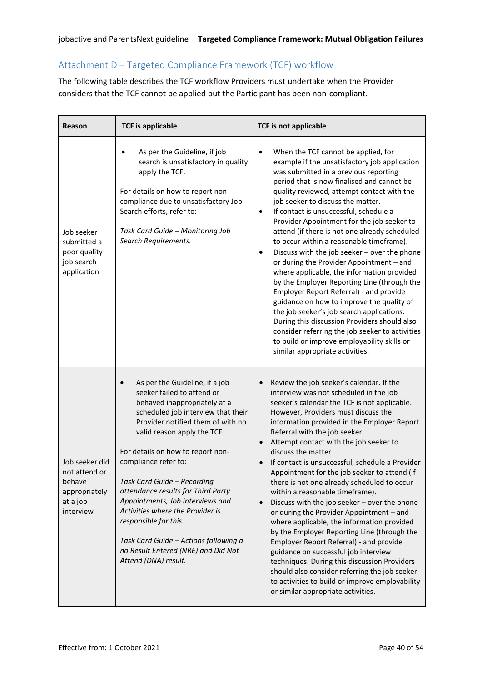# <span id="page-39-0"></span>Attachment D – Targeted Compliance Framework (TCF) workflow

The following table describes the TCF workflow Providers must undertake when the Provider considers that the TCF cannot be applied but the Participant has been non-compliant.

| Reason                                                                              | <b>TCF is applicable</b>                                                                                                                                                                                                                                                                                                                                                                                                                                                                                                                          | <b>TCF is not applicable</b>                                                                                                                                                                                                                                                                                                                                                                                                                                                                                                                                                                                                                                                                                                                                                                                                                                                                                                                                                                          |
|-------------------------------------------------------------------------------------|---------------------------------------------------------------------------------------------------------------------------------------------------------------------------------------------------------------------------------------------------------------------------------------------------------------------------------------------------------------------------------------------------------------------------------------------------------------------------------------------------------------------------------------------------|-------------------------------------------------------------------------------------------------------------------------------------------------------------------------------------------------------------------------------------------------------------------------------------------------------------------------------------------------------------------------------------------------------------------------------------------------------------------------------------------------------------------------------------------------------------------------------------------------------------------------------------------------------------------------------------------------------------------------------------------------------------------------------------------------------------------------------------------------------------------------------------------------------------------------------------------------------------------------------------------------------|
| Job seeker<br>submitted a<br>poor quality<br>job search<br>application              | As per the Guideline, if job<br>search is unsatisfactory in quality<br>apply the TCF.<br>For details on how to report non-<br>compliance due to unsatisfactory Job<br>Search efforts, refer to:<br>Task Card Guide - Monitoring Job<br>Search Requirements.                                                                                                                                                                                                                                                                                       | When the TCF cannot be applied, for<br>$\bullet$<br>example if the unsatisfactory job application<br>was submitted in a previous reporting<br>period that is now finalised and cannot be<br>quality reviewed, attempt contact with the<br>job seeker to discuss the matter.<br>If contact is unsuccessful, schedule a<br>$\bullet$<br>Provider Appointment for the job seeker to<br>attend (if there is not one already scheduled<br>to occur within a reasonable timeframe).<br>Discuss with the job seeker - over the phone<br>٠<br>or during the Provider Appointment - and<br>where applicable, the information provided<br>by the Employer Reporting Line (through the<br>Employer Report Referral) - and provide<br>guidance on how to improve the quality of<br>the job seeker's job search applications.<br>During this discussion Providers should also<br>consider referring the job seeker to activities<br>to build or improve employability skills or<br>similar appropriate activities. |
| Job seeker did<br>not attend or<br>behave<br>appropriately<br>at a job<br>interview | As per the Guideline, if a job<br>seeker failed to attend or<br>behaved inappropriately at a<br>scheduled job interview that their<br>Provider notified them of with no<br>valid reason apply the TCF.<br>For details on how to report non-<br>compliance refer to:<br>Task Card Guide - Recording<br>attendance results for Third Party<br>Appointments, Job Interviews and<br>Activities where the Provider is<br>responsible for this.<br>Task Card Guide - Actions following a<br>no Result Entered (NRE) and Did Not<br>Attend (DNA) result. | Review the job seeker's calendar. If the<br>interview was not scheduled in the job<br>seeker's calendar the TCF is not applicable.<br>However, Providers must discuss the<br>information provided in the Employer Report<br>Referral with the job seeker.<br>Attempt contact with the job seeker to<br>discuss the matter.<br>If contact is unsuccessful, schedule a Provider<br>Appointment for the job seeker to attend (if<br>there is not one already scheduled to occur<br>within a reasonable timeframe).<br>Discuss with the job seeker - over the phone<br>or during the Provider Appointment - and<br>where applicable, the information provided<br>by the Employer Reporting Line (through the<br>Employer Report Referral) - and provide<br>guidance on successful job interview<br>techniques. During this discussion Providers<br>should also consider referring the job seeker<br>to activities to build or improve employability<br>or similar appropriate activities.                 |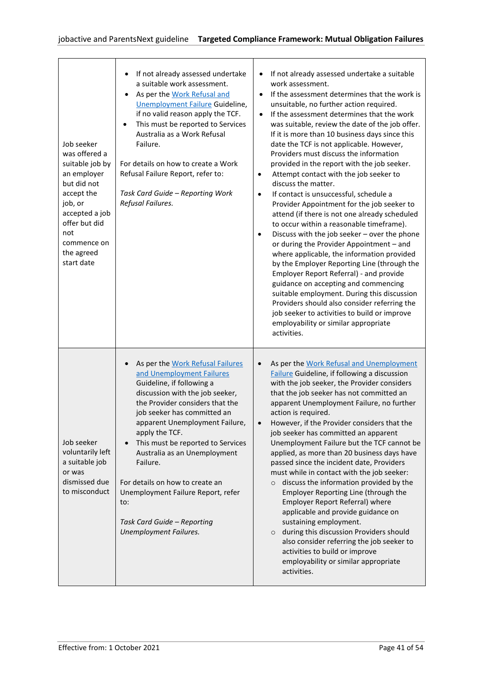| Job seeker<br>was offered a<br>suitable job by<br>an employer<br>but did not<br>accept the<br>job, or<br>accepted a job<br>offer but did<br>not<br>commence on<br>the agreed<br>start date | If not already assessed undertake<br>a suitable work assessment.<br>As per the Work Refusal and<br>Unemployment Failure Guideline,<br>if no valid reason apply the TCF.<br>This must be reported to Services<br>$\bullet$<br>Australia as a Work Refusal<br>Failure.<br>For details on how to create a Work<br>Refusal Failure Report, refer to:<br>Task Card Guide - Reporting Work<br>Refusal Failures.                                                                     | If not already assessed undertake a suitable<br>$\bullet$<br>work assessment.<br>If the assessment determines that the work is<br>unsuitable, no further action required.<br>If the assessment determines that the work<br>$\bullet$<br>was suitable, review the date of the job offer.<br>If it is more than 10 business days since this<br>date the TCF is not applicable. However,<br>Providers must discuss the information<br>provided in the report with the job seeker.<br>Attempt contact with the job seeker to<br>$\bullet$<br>discuss the matter.<br>If contact is unsuccessful, schedule a<br>$\bullet$<br>Provider Appointment for the job seeker to<br>attend (if there is not one already scheduled<br>to occur within a reasonable timeframe).<br>Discuss with the job seeker - over the phone<br>$\bullet$<br>or during the Provider Appointment - and<br>where applicable, the information provided<br>by the Employer Reporting Line (through the<br>Employer Report Referral) - and provide<br>guidance on accepting and commencing<br>suitable employment. During this discussion<br>Providers should also consider referring the<br>job seeker to activities to build or improve<br>employability or similar appropriate<br>activities. |
|--------------------------------------------------------------------------------------------------------------------------------------------------------------------------------------------|-------------------------------------------------------------------------------------------------------------------------------------------------------------------------------------------------------------------------------------------------------------------------------------------------------------------------------------------------------------------------------------------------------------------------------------------------------------------------------|---------------------------------------------------------------------------------------------------------------------------------------------------------------------------------------------------------------------------------------------------------------------------------------------------------------------------------------------------------------------------------------------------------------------------------------------------------------------------------------------------------------------------------------------------------------------------------------------------------------------------------------------------------------------------------------------------------------------------------------------------------------------------------------------------------------------------------------------------------------------------------------------------------------------------------------------------------------------------------------------------------------------------------------------------------------------------------------------------------------------------------------------------------------------------------------------------------------------------------------------------------------|
| Job seeker<br>voluntarily left<br>a suitable job<br>or was<br>dismissed due<br>to misconduct                                                                                               | As per the Work Refusal Failures<br>and Unemployment Failures<br>Guideline, if following a<br>discussion with the job seeker,<br>the Provider considers that the<br>job seeker has committed an<br>apparent Unemployment Failure,<br>apply the TCF.<br>This must be reported to Services<br>Australia as an Unemployment<br>Failure.<br>For details on how to create an<br>Unemployment Failure Report, refer<br>to:<br>Task Card Guide - Reporting<br>Unemployment Failures. | As per the Work Refusal and Unemployment<br>$\bullet$<br>Failure Guideline, if following a discussion<br>with the job seeker, the Provider considers<br>that the job seeker has not committed an<br>apparent Unemployment Failure, no further<br>action is required.<br>However, if the Provider considers that the<br>job seeker has committed an apparent<br>Unemployment Failure but the TCF cannot be<br>applied, as more than 20 business days have<br>passed since the incident date, Providers<br>must while in contact with the job seeker:<br>discuss the information provided by the<br>$\circ$<br>Employer Reporting Line (through the<br>Employer Report Referral) where<br>applicable and provide guidance on<br>sustaining employment.<br>during this discussion Providers should<br>$\circ$<br>also consider referring the job seeker to<br>activities to build or improve<br>employability or similar appropriate<br>activities.                                                                                                                                                                                                                                                                                                              |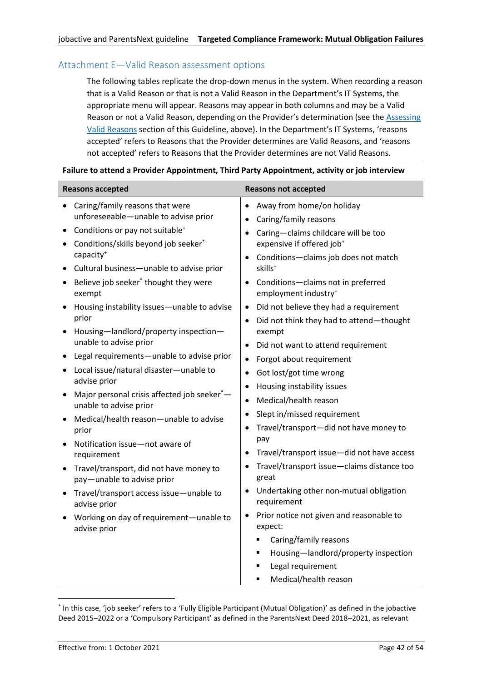# <span id="page-41-0"></span>Attachment E—Valid Reason assessment options

The following tables replicate the drop-down menus in the system. When recording a reason that is a Valid Reason or that is not a Valid Reason in the Department's IT Systems, the appropriate menu will appear. Reasons may appear in both columns and may be a Valid Reason or not a Valid Reason, depending on the Provider's determination (see the [Assessing](#page-17-2)  [Valid Reasons](#page-17-2) section of this Guideline, above). In the Department's IT Systems, 'reasons accepted' refers to Reasons that the Provider determines are Valid Reasons, and 'reasons not accepted' refers to Reasons that the Provider determines are not Valid Reasons.

#### **Failure to attend a Provider Appointment, Third Party Appointment, activity or job interview**

<span id="page-41-1"></span>

| <b>Reasons accepted</b>                                                                                                                                                                                                                                                         | <b>Reasons not accepted</b>                                                                                                                                                                                                                                                                                                           |
|---------------------------------------------------------------------------------------------------------------------------------------------------------------------------------------------------------------------------------------------------------------------------------|---------------------------------------------------------------------------------------------------------------------------------------------------------------------------------------------------------------------------------------------------------------------------------------------------------------------------------------|
| Caring/family reasons that were<br>unforeseeable-unable to advise prior                                                                                                                                                                                                         | Away from home/on holiday<br>$\bullet$<br>Caring/family reasons<br>$\bullet$                                                                                                                                                                                                                                                          |
| Conditions or pay not suitable <sup>+</sup><br>Conditions/skills beyond job seeker*<br>capacity <sup>+</sup><br>Cultural business-unable to advise prior<br>Believe job seeker <sup>*</sup> thought they were<br>exempt<br>Housing instability issues-unable to advise<br>prior | Caring-claims childcare will be too<br>expensive if offered job <sup>+</sup><br>Conditions-claims job does not match<br>skills <sup>+</sup><br>Conditions-claims not in preferred<br>employment industry <sup>+</sup><br>Did not believe they had a requirement<br>$\bullet$<br>Did not think they had to attend-thought<br>$\bullet$ |
| Housing-landlord/property inspection-<br>unable to advise prior<br>Legal requirements-unable to advise prior                                                                                                                                                                    | exempt<br>Did not want to attend requirement<br>٠<br>Forgot about requirement<br>$\bullet$                                                                                                                                                                                                                                            |
| Local issue/natural disaster-unable to<br>advise prior<br>Major personal crisis affected job seeker*<br>unable to advise prior                                                                                                                                                  | Got lost/got time wrong<br>$\bullet$<br>Housing instability issues<br>Medical/health reason<br>$\bullet$                                                                                                                                                                                                                              |
| Medical/health reason-unable to advise<br>prior<br>Notification issue-not aware of<br>requirement                                                                                                                                                                               | Slept in/missed requirement<br>$\bullet$<br>Travel/transport-did not have money to<br>pay<br>Travel/transport issue-did not have access<br>٠                                                                                                                                                                                          |
| Travel/transport, did not have money to<br>pay-unable to advise prior<br>Travel/transport access issue-unable to                                                                                                                                                                | Travel/transport issue-claims distance too<br>great<br>Undertaking other non-mutual obligation                                                                                                                                                                                                                                        |
| advise prior<br>Working on day of requirement-unable to<br>advise prior                                                                                                                                                                                                         | requirement<br>Prior notice not given and reasonable to<br>expect:                                                                                                                                                                                                                                                                    |
|                                                                                                                                                                                                                                                                                 | Caring/family reasons<br>٠<br>Housing-landlord/property inspection<br>٠<br>Legal requirement<br>$\blacksquare$<br>Medical/health reason                                                                                                                                                                                               |

<sup>\*</sup> In this case, 'job seeker' refers to a 'Fully Eligible Participant (Mutual Obligation)' as defined in the jobactive Deed 2015–2022 or a 'Compulsory Participant' as defined in the ParentsNext Deed 2018–2021, as relevant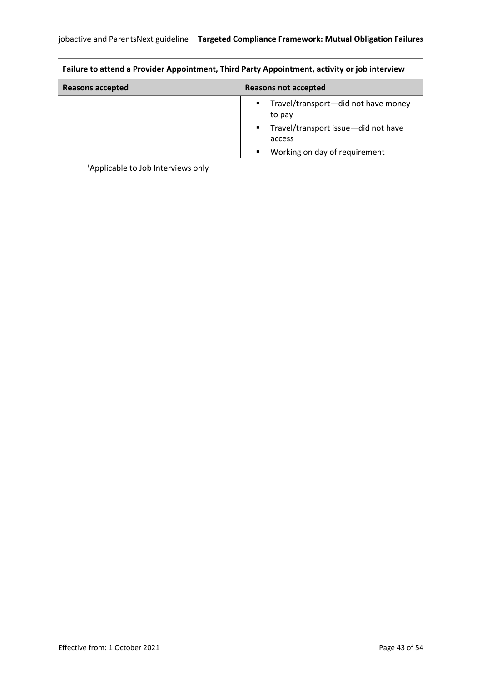| Reasons accepted | Reasons not accepted                                                                                                                                                         |
|------------------|------------------------------------------------------------------------------------------------------------------------------------------------------------------------------|
|                  | Travel/transport-did not have money<br>$\mathbf{u}$<br>to pay<br>Travel/transport issue-did not have<br>$\mathbf{E} = \mathbf{E}$<br>access<br>Working on day of requirement |
|                  |                                                                                                                                                                              |

# **Failure to attend a Provider Appointment, Third Party Appointment, activity or job interview**

+Applicable to Job Interviews only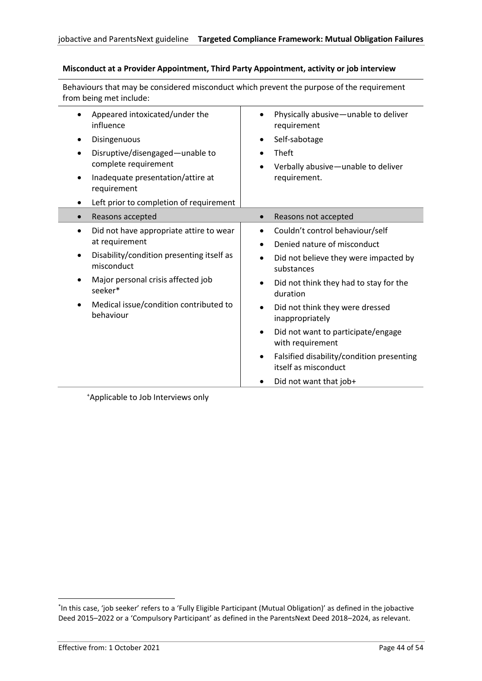| Behaviours that may be considered misconduct which prevent the purpose of the requirement<br>from being met include:                                                                                                                                                |                                                                                                                                                                                                                                                                                                                                                                                                                                                     |  |
|---------------------------------------------------------------------------------------------------------------------------------------------------------------------------------------------------------------------------------------------------------------------|-----------------------------------------------------------------------------------------------------------------------------------------------------------------------------------------------------------------------------------------------------------------------------------------------------------------------------------------------------------------------------------------------------------------------------------------------------|--|
| Appeared intoxicated/under the<br>$\bullet$<br>influence<br>Disingenuous<br>Disruptive/disengaged-unable to<br>complete requirement<br>Inadequate presentation/attire at<br>requirement<br>Left prior to completion of requirement                                  | Physically abusive-unable to deliver<br>requirement<br>Self-sabotage<br>Theft<br>Verbally abusive-unable to deliver<br>requirement.                                                                                                                                                                                                                                                                                                                 |  |
| Reasons accepted<br>$\bullet$                                                                                                                                                                                                                                       | Reasons not accepted<br>$\bullet$                                                                                                                                                                                                                                                                                                                                                                                                                   |  |
| Did not have appropriate attire to wear<br>$\bullet$<br>at requirement<br>Disability/condition presenting itself as<br>$\bullet$<br>misconduct<br>Major personal crisis affected job<br>$\bullet$<br>seeker*<br>Medical issue/condition contributed to<br>behaviour | Couldn't control behaviour/self<br>$\bullet$<br>Denied nature of misconduct<br>Did not believe they were impacted by<br>$\bullet$<br>substances<br>Did not think they had to stay for the<br>duration<br>Did not think they were dressed<br>$\bullet$<br>inappropriately<br>Did not want to participate/engage<br>$\bullet$<br>with requirement<br>Falsified disability/condition presenting<br>٠<br>itself as misconduct<br>Did not want that job+ |  |

#### **Misconduct at a Provider Appointment, Third Party Appointment, activity or job interview**

<sup>+</sup>Applicable to Job Interviews only

<sup>\*</sup> In this case, 'job seeker' refers to a 'Fully Eligible Participant (Mutual Obligation)' as defined in the jobactive Deed 2015–2022 or a 'Compulsory Participant' as defined in the ParentsNext Deed 2018–2024, as relevant.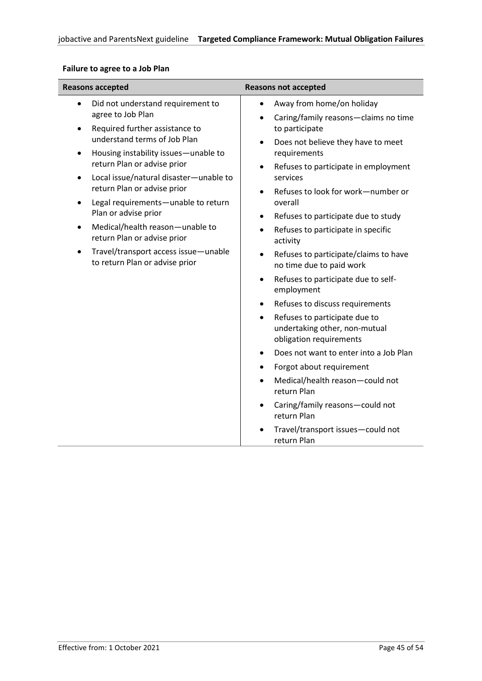| <b>Reasons accepted</b>                                                                                                                                                                                                                                                                                                                                                                                                                                                                                                                                                        | <b>Reasons not accepted</b>                                                                                                                                                                                                                                                                                                                                                                                                                                                                                                                                                                                                                                                                                                                                                                                                                                                                             |  |
|--------------------------------------------------------------------------------------------------------------------------------------------------------------------------------------------------------------------------------------------------------------------------------------------------------------------------------------------------------------------------------------------------------------------------------------------------------------------------------------------------------------------------------------------------------------------------------|---------------------------------------------------------------------------------------------------------------------------------------------------------------------------------------------------------------------------------------------------------------------------------------------------------------------------------------------------------------------------------------------------------------------------------------------------------------------------------------------------------------------------------------------------------------------------------------------------------------------------------------------------------------------------------------------------------------------------------------------------------------------------------------------------------------------------------------------------------------------------------------------------------|--|
| Did not understand requirement to<br>$\bullet$<br>agree to Job Plan<br>Required further assistance to<br>$\bullet$<br>understand terms of Job Plan<br>Housing instability issues-unable to<br>$\bullet$<br>return Plan or advise prior<br>Local issue/natural disaster-unable to<br>$\bullet$<br>return Plan or advise prior<br>Legal requirements-unable to return<br>$\bullet$<br>Plan or advise prior<br>Medical/health reason-unable to<br>$\bullet$<br>return Plan or advise prior<br>Travel/transport access issue-unable<br>$\bullet$<br>to return Plan or advise prior | Away from home/on holiday<br>$\bullet$<br>Caring/family reasons-claims no time<br>$\bullet$<br>to participate<br>Does not believe they have to meet<br>$\bullet$<br>requirements<br>Refuses to participate in employment<br>$\bullet$<br>services<br>Refuses to look for work-number or<br>$\bullet$<br>overall<br>Refuses to participate due to study<br>$\bullet$<br>Refuses to participate in specific<br>$\bullet$<br>activity<br>Refuses to participate/claims to have<br>$\bullet$<br>no time due to paid work<br>Refuses to participate due to self-<br>$\bullet$<br>employment<br>Refuses to discuss requirements<br>$\bullet$<br>Refuses to participate due to<br>$\bullet$<br>undertaking other, non-mutual<br>obligation requirements<br>Does not want to enter into a Job Plan<br>$\bullet$<br>Forgot about requirement<br>$\bullet$<br>Medical/health reason-could not<br>٠<br>return Plan |  |
|                                                                                                                                                                                                                                                                                                                                                                                                                                                                                                                                                                                | Caring/family reasons-could not<br>$\bullet$<br>return Plan<br>Travel/transport issues-could not<br>$\bullet$<br>return Plan                                                                                                                                                                                                                                                                                                                                                                                                                                                                                                                                                                                                                                                                                                                                                                            |  |

# **Failure to agree to a Job Plan**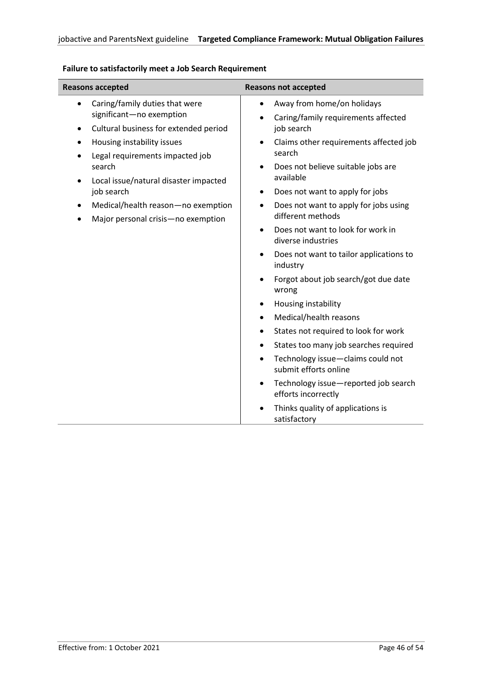| <b>Reasons accepted</b>                                                                                                                                                                                                      | <b>Reasons not accepted</b>                                                                                                                                                                                                                                                                                                                                                                                                                                                                                                                                                                                                                                                                                                                                                                                                                               |  |
|------------------------------------------------------------------------------------------------------------------------------------------------------------------------------------------------------------------------------|-----------------------------------------------------------------------------------------------------------------------------------------------------------------------------------------------------------------------------------------------------------------------------------------------------------------------------------------------------------------------------------------------------------------------------------------------------------------------------------------------------------------------------------------------------------------------------------------------------------------------------------------------------------------------------------------------------------------------------------------------------------------------------------------------------------------------------------------------------------|--|
| Caring/family duties that were<br>$\bullet$<br>significant-no exemption<br>Cultural business for extended period<br>$\bullet$                                                                                                | Away from home/on holidays<br>$\bullet$<br>Caring/family requirements affected<br>$\bullet$<br>job search                                                                                                                                                                                                                                                                                                                                                                                                                                                                                                                                                                                                                                                                                                                                                 |  |
| Housing instability issues<br>٠<br>Legal requirements impacted job<br>$\bullet$<br>search<br>Local issue/natural disaster impacted<br>job search<br>Medical/health reason-no exemption<br>Major personal crisis-no exemption | Claims other requirements affected job<br>$\bullet$<br>search<br>Does not believe suitable jobs are<br>$\bullet$<br>available<br>Does not want to apply for jobs<br>$\bullet$<br>Does not want to apply for jobs using<br>$\bullet$<br>different methods<br>Does not want to look for work in<br>$\bullet$<br>diverse industries<br>Does not want to tailor applications to<br>$\bullet$<br>industry<br>Forgot about job search/got due date<br>$\bullet$<br>wrong<br>Housing instability<br>٠<br>Medical/health reasons<br>$\bullet$<br>States not required to look for work<br>$\bullet$<br>States too many job searches required<br>$\bullet$<br>Technology issue-claims could not<br>$\bullet$<br>submit efforts online<br>Technology issue-reported job search<br>$\bullet$<br>efforts incorrectly<br>Thinks quality of applications is<br>$\bullet$ |  |
|                                                                                                                                                                                                                              | satisfactory                                                                                                                                                                                                                                                                                                                                                                                                                                                                                                                                                                                                                                                                                                                                                                                                                                              |  |

# **Failure to satisfactorily meet a Job Search Requirement**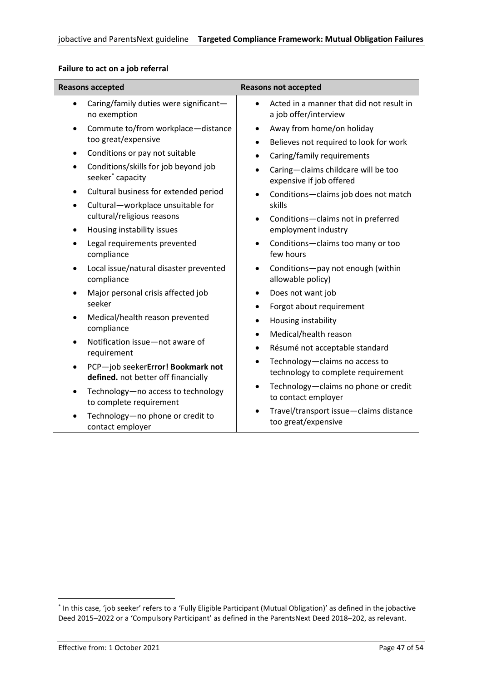| <b>Reasons accepted</b>                                     | <b>Reasons not accepted</b>                                                |  |
|-------------------------------------------------------------|----------------------------------------------------------------------------|--|
| Caring/family duties were significant-                      | Acted in a manner that did not result in                                   |  |
| $\bullet$                                                   | $\bullet$                                                                  |  |
| no exemption                                                | a job offer/interview                                                      |  |
| Commute to/from workplace-distance                          | Away from home/on holiday                                                  |  |
| $\bullet$                                                   | $\bullet$                                                                  |  |
| too great/expensive                                         | Believes not required to look for work<br>$\bullet$                        |  |
| Conditions or pay not suitable                              | Caring/family requirements                                                 |  |
| $\bullet$                                                   | $\bullet$                                                                  |  |
| Conditions/skills for job beyond job                        | Caring-claims childcare will be too                                        |  |
| $\bullet$                                                   | $\bullet$                                                                  |  |
| seeker <sup>*</sup> capacity                                | expensive if job offered                                                   |  |
| Cultural business for extended period                       | Conditions-claims job does not match                                       |  |
| $\bullet$                                                   | $\bullet$                                                                  |  |
| Cultural-workplace unsuitable for<br>$\bullet$              | skills                                                                     |  |
| cultural/religious reasons                                  | Conditions-claims not in preferred<br>$\bullet$                            |  |
| Housing instability issues<br>$\bullet$                     | employment industry                                                        |  |
| Legal requirements prevented                                | Conditions-claims too many or too                                          |  |
| $\bullet$                                                   | $\bullet$                                                                  |  |
| compliance                                                  | few hours                                                                  |  |
| Local issue/natural disaster prevented                      | Conditions-pay not enough (within                                          |  |
| $\bullet$                                                   | $\bullet$                                                                  |  |
| compliance                                                  | allowable policy)                                                          |  |
| Major personal crisis affected job                          | Does not want job                                                          |  |
| $\bullet$                                                   | $\bullet$                                                                  |  |
| seeker                                                      | Forgot about requirement                                                   |  |
| Medical/health reason prevented                             | Housing instability                                                        |  |
| $\bullet$                                                   | ٠                                                                          |  |
| compliance                                                  | Medical/health reason<br>$\bullet$                                         |  |
| Notification issue-not aware of<br>$\bullet$<br>requirement | Résumé not acceptable standard<br>$\bullet$                                |  |
| PCP-job seekerError! Bookmark not                           | Technology-claims no access to                                             |  |
| $\bullet$                                                   | $\bullet$                                                                  |  |
| defined. not better off financially                         | technology to complete requirement                                         |  |
| Technology-no access to technology                          | Technology-claims no phone or credit                                       |  |
| $\bullet$                                                   | $\bullet$                                                                  |  |
| to complete requirement                                     | to contact employer                                                        |  |
| Technology-no phone or credit to<br>contact employer        | Travel/transport issue-claims distance<br>$\bullet$<br>too great/expensive |  |

# **Failure to act on a job referral**

<span id="page-46-0"></span><sup>\*</sup> In this case, 'job seeker' refers to a 'Fully Eligible Participant (Mutual Obligation)' as defined in the jobactive Deed 2015–2022 or a 'Compulsory Participant' as defined in the ParentsNext Deed 2018–202, as relevant.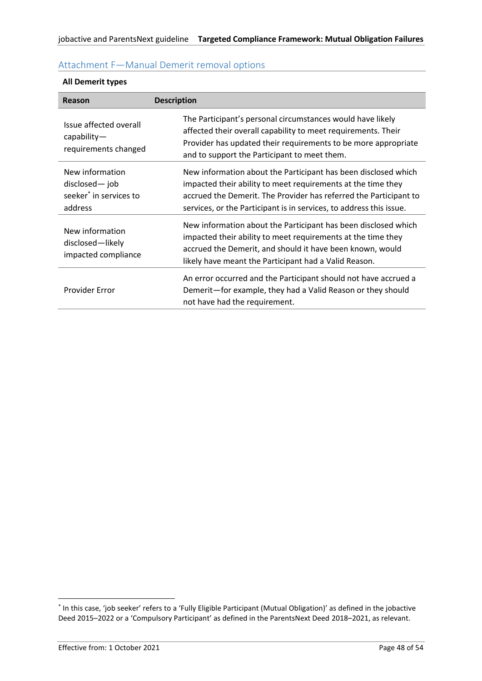| Reason                                                                             | <b>Description</b>                                                                                                                                                                                                                                                         |
|------------------------------------------------------------------------------------|----------------------------------------------------------------------------------------------------------------------------------------------------------------------------------------------------------------------------------------------------------------------------|
| Issue affected overall<br>$capability-$<br>requirements changed                    | The Participant's personal circumstances would have likely<br>affected their overall capability to meet requirements. Their<br>Provider has updated their requirements to be more appropriate<br>and to support the Participant to meet them.                              |
| New information<br>disclosed— job<br>seeker <sup>*</sup> in services to<br>address | New information about the Participant has been disclosed which<br>impacted their ability to meet requirements at the time they<br>accrued the Demerit. The Provider has referred the Participant to<br>services, or the Participant is in services, to address this issue. |
| New information<br>disclosed-likely<br>impacted compliance                         | New information about the Participant has been disclosed which<br>impacted their ability to meet requirements at the time they<br>accrued the Demerit, and should it have been known, would<br>likely have meant the Participant had a Valid Reason.                       |
| Provider Error                                                                     | An error occurred and the Participant should not have accrued a<br>Demerit-for example, they had a Valid Reason or they should<br>not have had the requirement.                                                                                                            |

# <span id="page-47-0"></span>Attachment F—Manual Demerit removal options

**All Demerit types**

<sup>\*</sup> In this case, 'job seeker' refers to a 'Fully Eligible Participant (Mutual Obligation)' as defined in the jobactive Deed 2015–2022 or a 'Compulsory Participant' as defined in the ParentsNext Deed 2018–2021, as relevant.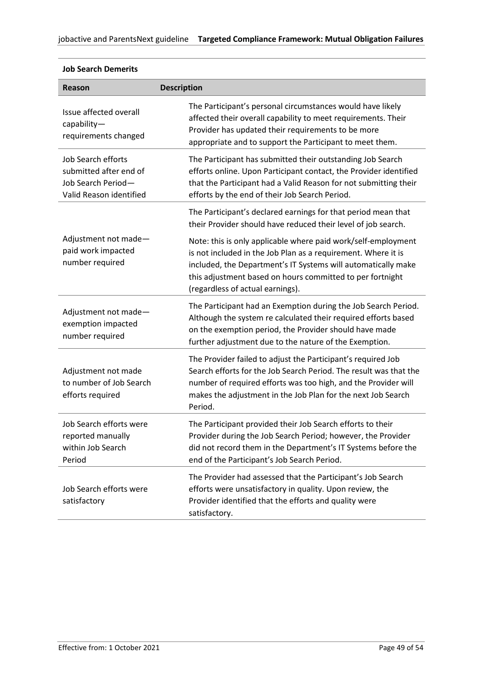| Reason                                                                                               | <b>Description</b>                                                                                                                                                                                                                                                                               |
|------------------------------------------------------------------------------------------------------|--------------------------------------------------------------------------------------------------------------------------------------------------------------------------------------------------------------------------------------------------------------------------------------------------|
| Issue affected overall<br>$capability-$<br>requirements changed                                      | The Participant's personal circumstances would have likely<br>affected their overall capability to meet requirements. Their<br>Provider has updated their requirements to be more<br>appropriate and to support the Participant to meet them.                                                    |
| <b>Job Search efforts</b><br>submitted after end of<br>Job Search Period-<br>Valid Reason identified | The Participant has submitted their outstanding Job Search<br>efforts online. Upon Participant contact, the Provider identified<br>that the Participant had a Valid Reason for not submitting their<br>efforts by the end of their Job Search Period.                                            |
|                                                                                                      | The Participant's declared earnings for that period mean that<br>their Provider should have reduced their level of job search.                                                                                                                                                                   |
| Adjustment not made-<br>paid work impacted<br>number required                                        | Note: this is only applicable where paid work/self-employment<br>is not included in the Job Plan as a requirement. Where it is<br>included, the Department's IT Systems will automatically make<br>this adjustment based on hours committed to per fortnight<br>(regardless of actual earnings). |
| Adjustment not made-<br>exemption impacted<br>number required                                        | The Participant had an Exemption during the Job Search Period.<br>Although the system re calculated their required efforts based<br>on the exemption period, the Provider should have made<br>further adjustment due to the nature of the Exemption.                                             |
| Adjustment not made<br>to number of Job Search<br>efforts required                                   | The Provider failed to adjust the Participant's required Job<br>Search efforts for the Job Search Period. The result was that the<br>number of required efforts was too high, and the Provider will<br>makes the adjustment in the Job Plan for the next Job Search<br>Period.                   |
| Job Search efforts were<br>reported manually<br>within Job Search<br>Period                          | The Participant provided their Job Search efforts to their<br>Provider during the Job Search Period; however, the Provider<br>did not record them in the Department's IT Systems before the<br>end of the Participant's Job Search Period.                                                       |
| Job Search efforts were<br>satisfactory                                                              | The Provider had assessed that the Participant's Job Search<br>efforts were unsatisfactory in quality. Upon review, the<br>Provider identified that the efforts and quality were<br>satisfactory.                                                                                                |

# **Job Search Demerits**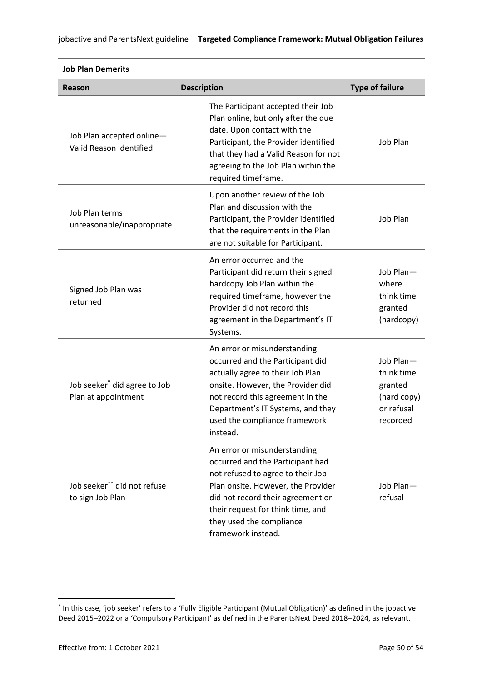| Reason                                                          | <b>Description</b>                                                                                                                                                                                                                                                      | <b>Type of failure</b>                                                      |
|-----------------------------------------------------------------|-------------------------------------------------------------------------------------------------------------------------------------------------------------------------------------------------------------------------------------------------------------------------|-----------------------------------------------------------------------------|
| Job Plan accepted online-<br>Valid Reason identified            | The Participant accepted their Job<br>Plan online, but only after the due<br>date. Upon contact with the<br>Participant, the Provider identified<br>that they had a Valid Reason for not<br>agreeing to the Job Plan within the<br>required timeframe.                  | Job Plan                                                                    |
| Job Plan terms<br>unreasonable/inappropriate                    | Upon another review of the Job<br>Plan and discussion with the<br>Participant, the Provider identified<br>that the requirements in the Plan<br>are not suitable for Participant.                                                                                        | Job Plan                                                                    |
| Signed Job Plan was<br>returned                                 | An error occurred and the<br>Participant did return their signed<br>hardcopy Job Plan within the<br>required timeframe, however the<br>Provider did not record this<br>agreement in the Department's IT<br>Systems.                                                     | Job Plan-<br>where<br>think time<br>granted<br>(hardcopy)                   |
| Job seeker <sup>*</sup> did agree to Job<br>Plan at appointment | An error or misunderstanding<br>occurred and the Participant did<br>actually agree to their Job Plan<br>onsite. However, the Provider did<br>not record this agreement in the<br>Department's IT Systems, and they<br>used the compliance framework<br>instead.         | Job Plan-<br>think time<br>granted<br>(hard copy)<br>or refusal<br>recorded |
| Job seeker** did not refuse<br>to sign Job Plan                 | An error or misunderstanding<br>occurred and the Participant had<br>not refused to agree to their Job<br>Plan onsite. However, the Provider<br>did not record their agreement or<br>their request for think time, and<br>they used the compliance<br>framework instead. | Job Plan-<br>refusal                                                        |

#### **Job Plan Demerits**

<span id="page-49-0"></span><sup>\*</sup> In this case, 'job seeker' refers to a 'Fully Eligible Participant (Mutual Obligation)' as defined in the jobactive Deed 2015–2022 or a 'Compulsory Participant' as defined in the ParentsNext Deed 2018–2024, as relevant.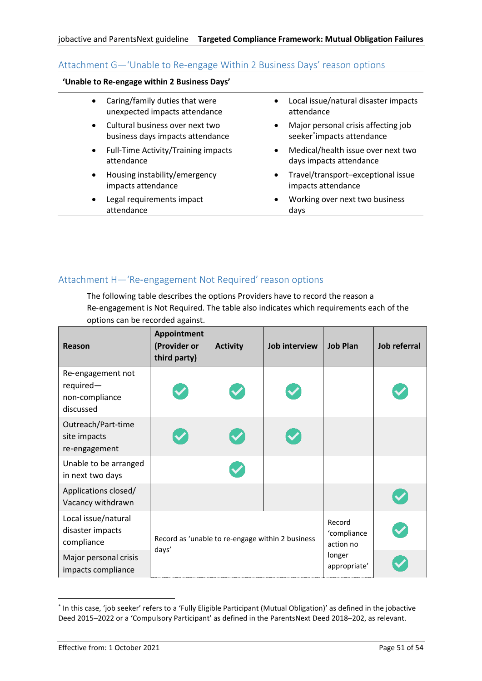# <span id="page-50-0"></span>Attachment G—'Unable to Re-engage Within 2 Business Days' reason options

#### **'Unable to Re-engage within 2 Business Days'**

- Caring/family duties that were unexpected impacts attendance
- Cultural business over next two business days impacts attendance
- Full-Time Activity/Training impacts attendance
- Housing instability/emergency impacts attendance
- Legal requirements impact attendance
- Local issue/natural disaster impacts attendance
- Major personal crisis affecting job seeker\* impacts attendance
- Medical/health issue over next two days impacts attendance
- Travel/transport–exceptional issue impacts attendance
- Working over next two business days

# <span id="page-50-1"></span>Attachment H—'Re‑engagement Not Required' reason options

The following table describes the options Providers have to record the reason a Re‑engagement is Not Required. The table also indicates which requirements each of the options can be recorded against.

| Reason                                                        | Appointment<br>(Provider or<br>third party)               | <b>Activity</b> | Job interview | <b>Job Plan</b>                                              | Job referral |
|---------------------------------------------------------------|-----------------------------------------------------------|-----------------|---------------|--------------------------------------------------------------|--------------|
| Re-engagement not<br>required-<br>non-compliance<br>discussed |                                                           |                 |               |                                                              |              |
| Outreach/Part-time<br>site impacts<br>re-engagement           |                                                           |                 |               |                                                              |              |
| Unable to be arranged<br>in next two days                     |                                                           |                 |               |                                                              |              |
| Applications closed/<br>Vacancy withdrawn                     |                                                           |                 |               |                                                              |              |
| Local issue/natural<br>disaster impacts<br>compliance         | Record as 'unable to re-engage within 2 business<br>days' |                 |               | Record<br>'compliance<br>action no<br>longer<br>appropriate' |              |
| Major personal crisis<br>impacts compliance                   |                                                           |                 |               |                                                              |              |

<sup>\*</sup> In this case, 'job seeker' refers to a 'Fully Eligible Participant (Mutual Obligation)' as defined in the jobactive Deed 2015–2022 or a 'Compulsory Participant' as defined in the ParentsNext Deed 2018–202, as relevant.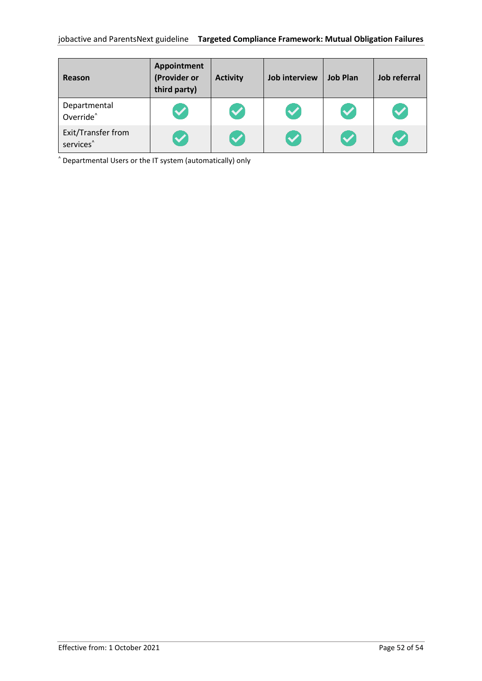| Reason                                      | Appointment<br>(Provider or<br>third party) | <b>Activity</b>      | <b>Job interview</b> | <b>Job Plan</b>      | Job referral |
|---------------------------------------------|---------------------------------------------|----------------------|----------------------|----------------------|--------------|
| Departmental<br>Override <sup>^</sup>       | $\blacktriangledown$                        | $\blacktriangledown$ |                      | $\blacktriangledown$ |              |
| Exit/Transfer from<br>services <sup>^</sup> | $\blacktriangledown$                        | $\blacktriangledown$ |                      | $\blacktriangledown$ |              |

^ Departmental Users or the IT system (automatically) only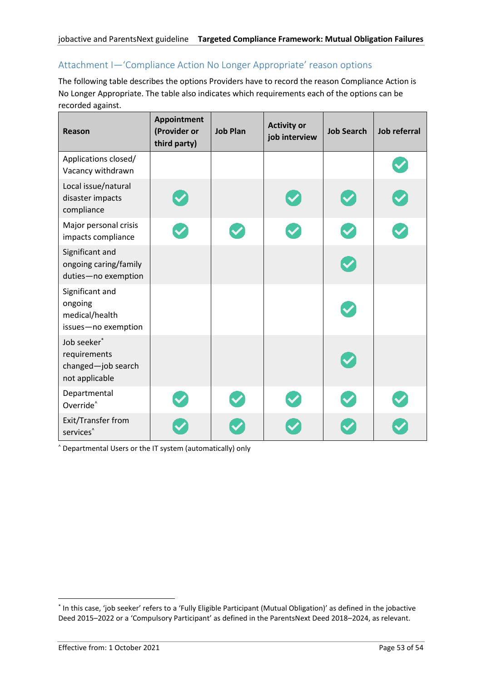# <span id="page-52-0"></span>Attachment I—'Compliance Action No Longer Appropriate' reason options

The following table describes the options Providers have to record the reason Compliance Action is No Longer Appropriate. The table also indicates which requirements each of the options can be recorded against.

| Reason                                                              | Appointment<br>(Provider or<br>third party) | <b>Job Plan</b> | <b>Activity or</b><br>job interview | <b>Job Search</b> | <b>Job referral</b> |
|---------------------------------------------------------------------|---------------------------------------------|-----------------|-------------------------------------|-------------------|---------------------|
| Applications closed/<br>Vacancy withdrawn                           |                                             |                 |                                     |                   |                     |
| Local issue/natural<br>disaster impacts<br>compliance               |                                             |                 |                                     |                   |                     |
| Major personal crisis<br>impacts compliance                         |                                             |                 |                                     |                   |                     |
| Significant and<br>ongoing caring/family<br>duties-no exemption     |                                             |                 |                                     |                   |                     |
| Significant and<br>ongoing<br>medical/health<br>issues-no exemption |                                             |                 |                                     |                   |                     |
| Job seeker*<br>requirements<br>changed-job search<br>not applicable |                                             |                 |                                     |                   |                     |
| Departmental<br>Override <sup>^</sup>                               |                                             |                 |                                     |                   |                     |
| Exit/Transfer from<br>services <sup>^</sup>                         |                                             |                 |                                     |                   |                     |

^ Departmental Users or the IT system (automatically) only

<sup>\*</sup> In this case, 'job seeker' refers to a 'Fully Eligible Participant (Mutual Obligation)' as defined in the jobactive Deed 2015–2022 or a 'Compulsory Participant' as defined in the ParentsNext Deed 2018–2024, as relevant.